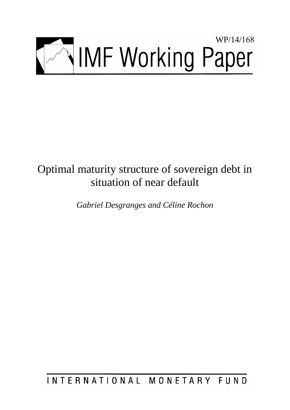

# Optimal maturity structure of sovereign debt in situation of near default

*Gabriel Desgranges and Céline Rochon* 

INTERNATIONAL MONETARY FUND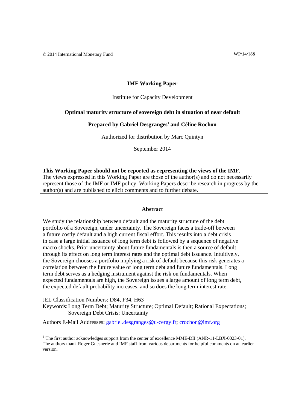# **IMF Working Paper**

#### Institute for Capacity Development

### **Optimal maturity structure of sovereign debt in situation of near default**

#### Prepared by Gabriel Desgranges<sup>1</sup> and Céline Rochon

Authorized for distribution by Marc Quintyn

September 2014

This Working Paper should not be reported as representing the views of the IMF. The views expressed in this Working Paper are those of the author(s) and do not necessarily represent those of the IMF or IMF policy. Working Papers describe research in progress by the author(s) and are published to elicit comments and to further debate.

#### **Abstract**

We study the relationship between default and the maturity structure of the debt portfolio of a Sovereign, under uncertainty. The Sovereign faces a trade-off between a future costly default and a high current fiscal effort. This results into a debt crisis in case a large initial issuance of long term debt is followed by a sequence of negative macro shocks. Prior uncertainty about future fundamentals is then a source of default through its effect on long term interest rates and the optimal debt issuance. Intuitively, the Sovereign chooses a portfolio implying a risk of default because this risk generates a correlation between the future value of long term debt and future fundamentals. Long term debt serves as a hedging instrument against the risk on fundamentals. When expected fundamentals are high, the Sovereign issues a large amount of long term debt, the expected default probability increases, and so does the long term interest rate.

JEL Classification Numbers: D84, F34, H63

Keywords: Long Term Debt; Maturity Structure; Optimal Default; Rational Expectations; Sovereign Debt Crisis; Uncertainty

Authors E-Mail Addresses: gabriel.desgranges@u-cergy.fr; crochon@imf.org

<sup>&</sup>lt;sup>1</sup> The first author acknowledges support from the center of excellence MME-DII (ANR-11-LBX-0023-01). The authors thank Roger Guesnerie and IMF staff from various departments for helpful comments on an earlier version.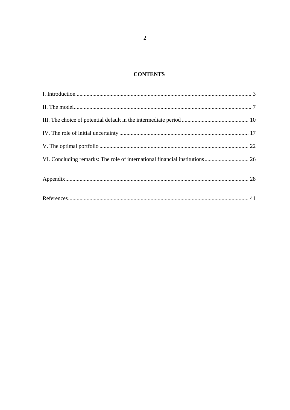# **CONTENTS**

| VI. Concluding remarks: The role of international financial institutions 26 |  |
|-----------------------------------------------------------------------------|--|
|                                                                             |  |
|                                                                             |  |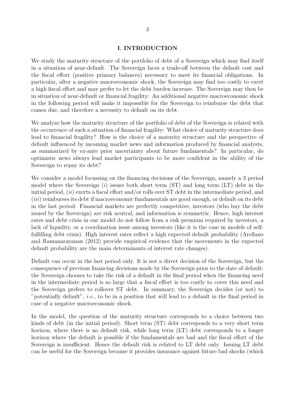# **I. INTRODUCTION**

We study the maturity structure of the portfolio of debt of a Sovereign which may find itself in a situation of near-default. The Sovereign faces a trade-off between the default cost and the fiscal effort (positive primary balances) necessary to meet its financial obligations. In particular, after a negative macroeconomic shock, the Sovereign may find too costly to exert a high fiscal effort and may prefer to let the debt burden increase. The Sovereign may then be in situation of near-default or financial fragility: An additional negative macroeconomic shock in the following period will make it impossible for the Sovereign to reimburse the debt that comes due, and therefore a necessity to default on its debt.

We analyze how the maturity structure of the portfolio of debt of the Sovereign is related with the occurrence of such a situation of financial fragility: What choice of maturity structure does lead to financial fragility? How is the choice of a maturity structure and the perspective of default influenced by incoming market news and information produced by financial analysts, as summarized by ex-ante prior uncertainty about future fundamentals? In particular, do optimistic news always lead market participants to be more confident in the ability of the Sovereign to repay its debt?

We consider a model focussing on the financing decisions of the Sovereign, namely a 3 period model where the Sovereign (*i*) issues both short term (ST) and long term (LT) debt in the initial period, (*ii*) exerts a fiscal effort and/or rolls over ST debt in the intermediate period, and (*iii*) reimburses its debt if macroeconomic fundamentals are good enough, or default on its debt in the last period. Financial markets are perfectly competitive, investors (who buy the debt issued by the Sovereign) are risk neutral, and information is symmetric. Hence, high interest rates and debt crisis in our model do not follow from a risk premium required by investors, a lack of liquidity, or a coordination issue among investors (like it is the case in models of selffulfilling debt crisis). High interest rates reflect a high expected default probability (Arellano and Ramanarayanan (2012) provide empirical evidence that the movements in the expected default probability are the main determinants of interest rate changes).

Default can occur in the last period only. It is not a direct decision of the Sovereign, but the consequence of previous financing decisions made by the Sovereign prior to the date of default: the Sovereign chooses to take the risk of a default in the final period when the financing need in the intermediate period is so large that a fiscal effort is too costly to cover this need and the Sovereign prefers to rollover ST debt. In summary, the Sovereign decides (or not) to "potentially default", *i.e.*, to be in a position that will lead to a default in the final period in case of a negative macroeconomic shock.

In the model, the question of the maturity structure corresponds to a choice between two kinds of debt (in the initial period). Short term (ST) debt corresponds to a very short term horizon, where there is no default risk, while long term (LT) debt corresponds to a longer horizon where the default is possible if the fundamentals are bad and the fiscal effort of the Sovereign is insufficient. Hence the default risk is related to LT debt only. Issuing LT debt can be useful for the Sovereign because it provides insurance against future bad shocks (which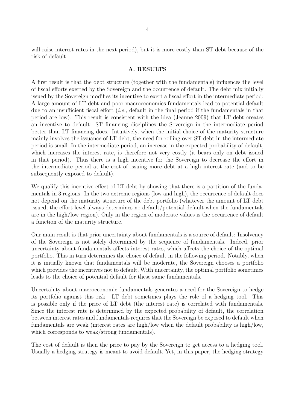will raise interest rates in the next period), but it is more costly than ST debt because of the risk of default.

# **A. RESULTS**

A first result is that the debt structure (together with the fundamentals) influences the level of fiscal efforts exerted by the Sovereign and the occurrence of default. The debt mix initially issued by the Sovereign modifies its incentive to exert a fiscal effort in the intermediate period: A large amount of LT debt and poor macroeconomics fundamentals lead to potential default due to an insufficient fiscal effort (*i.e.*, default in the final period if the fundamentals in that period are low). This result is consistent with the idea (Jeanne 2009) that LT debt creates an incentive to default: ST financing disciplines the Sovereign in the intermediate period better than LT financing does. Intuitively, when the initial choice of the maturity structure mainly involves the issuance of LT debt, the need for rolling over ST debt in the intermediate period is small. In the intermediate period, an increase in the expected probability of default, which increases the interest rate, is therefore not very costly (it bears only on debt issued in that period). Thus there is a high incentive for the Sovereign to decrease the effort in the intermediate period at the cost of issuing more debt at a high interest rate (and to be subsequently exposed to default).

We qualify this incentive effect of LT debt by showing that there is a partition of the fundamentals in 3 regions. In the two extreme regions (low and high), the occurrence of default does not depend on the maturity structure of the debt portfolio (whatever the amount of LT debt issued, the effort level always determines no default/potential default when the fundamentals are in the high/low region). Only in the region of moderate values is the occurrence of default a function of the maturity structure.

Our main result is that prior uncertainty about fundamentals is a source of default: Insolvency of the Sovereign is not solely determined by the sequence of fundamentals. Indeed, prior uncertainty about fundamentals affects interest rates, which affects the choice of the optimal portfolio. This in turn determines the choice of default in the following period. Notably, when it is initially known that fundamentals will be moderate, the Sovereign chooses a portfolio which provides the incentives not to default. With uncertainty, the optimal portfolio sometimes leads to the choice of potential default for these same fundamentals.

Uncertainty about macroeconomic fundamentals generates a need for the Sovereign to hedge its portfolio against this risk. LT debt sometimes plays the role of a hedging tool. This is possible only if the price of LT debt (the interest rate) is correlated with fundamentals. Since the interest rate is determined by the expected probability of default, the correlation between interest rates and fundamentals requires that the Sovereign be exposed to default when fundamentals are weak (interest rates are high/low when the default probability is high/low, which corresponds to weak/strong fundamentals).

The cost of default is then the price to pay by the Sovereign to get access to a hedging tool. Usually a hedging strategy is meant to avoid default. Yet, in this paper, the hedging strategy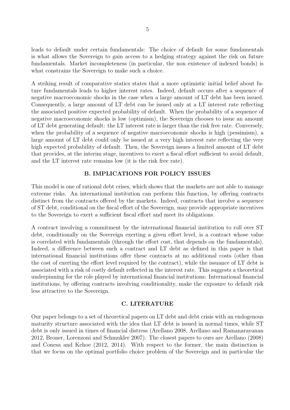leads to default under certain fundamentals: The choice of default for some fundamentals is what allows the Sovereign to gain access to a hedging strategy against the risk on future fundamentals. Market incompleteness (in particular, the non existence of indexed bonds) is what constrains the Sovereign to make such a choice.

A striking result of comparative statics states that a more optimistic initial belief about future fundamentals leads to higher interest rates. Indeed, default occurs after a sequence of negative macroeconomic shocks in the case when a large amount of LT debt has been issued. Consequently, a large amount of LT debt can be issued only at a LT interest rate reflecting the associated positive expected probability of default. When the probability of a sequence of negative macroeconomic shocks is low (optimism), the Sovereign chooses to issue an amount of LT debt generating default: the LT interest rate is larger than the risk free rate. Conversely, when the probability of a sequence of negative macroeconomic shocks is high (pessimism), a large amount of LT debt could only be issued at a very high interest rate reflecting the very high expected probability of default. Then, the Sovereign issues a limited amount of LT debt that provides, at the interim stage, incentives to exert a fiscal effort sufficient to avoid default, and the LT interest rate remains low (it is the risk free rate).

# **B. IMPLICATIONS FOR POLICY ISSUES**

This model is one of rational debt crises, which shows that the markets are not able to manage extreme risks. An international institution can perform this function, by offering contracts distinct from the contracts offered by the markets. Indeed, contracts that involve a sequence of ST debt, conditional on the fiscal effort of the Sovereign, may provide appropriate incentives to the Sovereign to exert a sufficient fiscal effort and meet its obligations.

A contract involving a commitment by the international financial institution to roll over ST debt, conditionally on the Sovereign exerting a given effort level, is a contract whose value is correlated with fundamentals (through the effort cost, that depends on the fundamentals). Indeed, a difference between such a contract and LT debt as defined in this paper is that international financial institutions offer these contracts at no additional costs (other than the cost of exerting the effort level required by the contract), while the issuance of LT debt is associated with a risk of costly default reflected in the interest rate. This suggests a theoretical underpinning for the role played by international financial institutions: International financial institutions, by offering contracts involving conditionality, make the exposure to default risk less attractive to the Sovereign.

# **C. LITERATURE**

Our paper belongs to a set of theoretical papers on LT debt and debt crisis with an endogenous maturity structure associated with the idea that LT debt is issued in normal times, while ST debt is only issued in times of financial distress (Arellano 2008, Arellano and Ramanarayanan 2012, Broner, Lorenzoni and Schmukler 2007). The closest papers to ours are Arellano (2008) and Conesa and Kehoe (2012, 2014). With respect to the former, the main distinction is that we focus on the optimal portfolio choice problem of the Sovereign and in particular the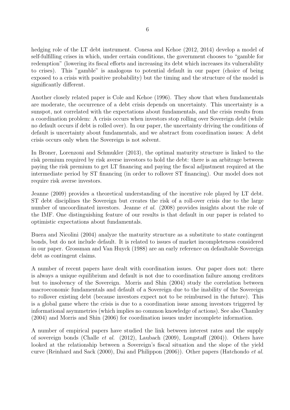hedging role of the LT debt instrument. Conesa and Kehoe  $(2012, 2014)$  develop a model of self-fulfilling crises in which, under certain conditions, the government chooses to "gamble for redemption" (lowering its fiscal efforts and increasing its debt which increases its vulnerability to crises). This "gamble" is analogous to potential default in our paper (choice of being exposed to a crisis with positive probability) but the timing and the structure of the model is significantly different.

Another closely related paper is Cole and Kehoe (1996). They show that when fundamentals are moderate, the occurrence of a debt crisis depends on uncertainty. This uncertainty is a sunspot, not correlated with the expectations about fundamentals, and the crisis results from a coordination problem: A crisis occurs when investors stop rolling over Sovereign debt (while no default occurs if debt is rolled over). In our paper, the uncertainty driving the conditions of default is uncertainty about fundamentals, and we abstract from coordination issues: A debt crisis occurs only when the Sovereign is not solvent.

In Broner, Lorenzoni and Schmukler (2013), the optimal maturity structure is linked to the risk premium required by risk averse investors to hold the debt: there is an arbitrage between paying the risk premium to get LT financing and paying the fiscal adjustment required at the intermediate period by ST financing (in order to rollover ST financing). Our model does not require risk averse investors.

Jeanne (2009) provides a theoretical understanding of the incentive role played by LT debt. ST debt disciplines the Sovereign but creates the risk of a roll-over crisis due to the large number of uncoordinated investors. Jeanne *et al.* (2008) provides insights about the role of the IMF. One distinguishing feature of our results is that default in our paper is related to optimistic expectations about fundamentals.

Buera and Nicolini (2004) analyze the maturity structure as a substitute to state contingent bonds, but do not include default. It is related to issues of market incompleteness considered in our paper. Grossman and Van Huyck (1988) are an early reference on defaultable Sovereign debt as contingent claims.

A number of recent papers have dealt with coordination issues. Our paper does not: there is always a unique equilibrium and default is not due to coordination failure among creditors but to insolvency of the Sovereign. Morris and Shin (2004) study the correlation between macroeconomic fundamentals and default of a Sovereign due to the inability of the Sovereign to rollover existing debt (because investors expect not to be reimbursed in the future). This is a global game where the crisis is due to a coordination issue among investors triggered by informational asymmetries (which implies no common knowledge of actions). See also Chamley (2004) and Morris and Shin (2006) for coordination issues under incomplete information.

A number of empirical papers have studied the link between interest rates and the supply of sovereign bonds (Challe *et al.* (2012), Laubach (2009), Longstaff (2004)). Others have looked at the relationship between a Sovereign's fiscal situation and the slope of the yield curve (Reinhard and Sack (2000), Dai and Philippon (2006)). Other papers (Hatchondo *et al.*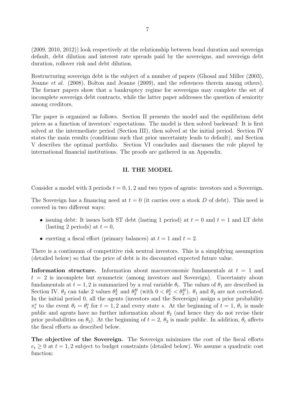(2009, 2010, 2012)) look respectively at the relationship between bond duration and sovereign default, debt dilution and interest rate spreads paid by the sovereigns, and sovereign debt duration, rollover risk and debt dilution.

Restructuring sovereign debt is the subject of a number of papers (Ghosal and Miller (2003), Jeanne *et al.* (2008), Bolton and Jeanne (2009), and the references therein among others). The former papers show that a bankruptcy regime for sovereigns may complete the set of incomplete sovereign debt contracts, while the latter paper addresses the question of seniority among creditors.

The paper is organized as follows. Section II presents the model and the equilibrium debt prices as a function of investors' expectations. The model is then solved backward: It is first solved at the intermediate period (Section III), then solved at the initial period. Section IV states the main results (conditions such that prior uncertainty leads to default), and Section V describes the optimal portfolio. Section VI concludes and discusses the role played by international financial institutions. The proofs are gathered in an Appendix.

# **II. THE MODEL**

Consider a model with 3 periods  $t = 0, 1, 2$  and two types of agents: investors and a Sovereign.

The Sovereign has a financing need at  $t = 0$  (it carries over a stock  $D$  of debt). This need is covered in two different ways:

- issuing debt: It issues both ST debt (lasting 1 period) at  $t = 0$  and  $t = 1$  and LT debt (lasting 2 periods) at  $t = 0$ ,
- exerting a fiscal effort (primary balances) at  $t = 1$  and  $t = 2$ .

There is a continuum of competitive risk neutral investors. This is a simplifying assumption (detailed below) so that the price of debt is its discounted expected future value.

**Information structure.** Information about macroeconomic fundamentals at *t* = 1 and  $t = 2$  is incomplete but symmetric (among investors and Sovereign). Uncertainty about fundamentals at  $t = 1, 2$  is summarized by a real variable  $\theta_t$ . The values of  $\theta_1$  are described in Section IV.  $\theta_2$  can take 2 values  $\theta_2^L$  and  $\theta_2^H$  (with  $0 < \theta_2^L < \theta_2^H$ ).  $\theta_1$  and  $\theta_2$  are not correlated. In the initial period 0, all the agents (investors and the Sovereign) assign a prior probability  $\pi_t^s$  to the event  $\theta_t = \theta_t^s$  for  $t = 1, 2$  and every state *s*. At the beginning of  $t = 1, \theta_1$  is made public and agents have no further information about  $\theta_2$  (and hence they do not revise their prior probabilities on  $\theta_2$ ). At the beginning of  $t = 2$ ,  $\theta_2$  is made public. In addition,  $\theta_t$  affects the fiscal efforts as described below.

**The objective of the Sovereign.** The Sovereign minimizes the cost of the fiscal efforts  $e_t \geq 0$  at  $t = 1, 2$  subject to budget constraints (detailed below). We assume a quadratic cost function: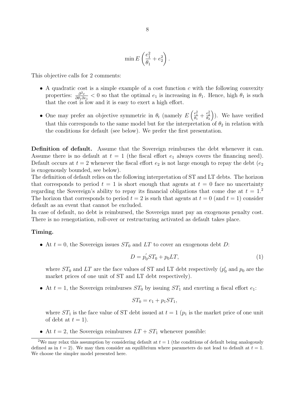$$
\min E\left(\frac{e_1^2}{\theta_1}+e_2^2\right).
$$

This objective calls for 2 comments:

- A quadratic cost is a simple example of a cost function *c* with the following convexity properties:  $\frac{\partial^2 c}{\partial \theta_1 \partial \theta_2}$  $\frac{\partial^2 c}{\partial \theta_1 \partial e_1}$  < 0 so that the optimal  $e_1$  is increasing in  $\theta_1$ . Hence, high  $\theta_1$  is such that the cost is low and it is easy to exert a high effort.
- One may prefer an objective symmetric in  $\theta_t$  (namely  $E\left(\frac{e_1^2}{\theta_1} + \frac{e_2^2}{\theta_2}\right)$ ) ). We have verified that this corresponds to the same model but for the interpretation of  $\theta_2$  in relation with the conditions for default (see below). We prefer the first presentation.

**Definition of default.** Assume that the Sovereign reimburses the debt whenever it can. Assume there is no default at  $t = 1$  (the fiscal effort  $e_1$  always covers the financing need). Default occurs at  $t = 2$  whenever the fiscal effort  $e_2$  is not large enough to repay the debt  $(e_2)$ is exogenously bounded, see below).

The definition of default relies on the following interpretation of ST and LT debts. The horizon that corresponds to period  $t = 1$  is short enough that agents at  $t = 0$  face no uncertainty regarding the Sovereign's ability to repay its financial obligations that come due at  $t = 1$ <sup>2</sup> The horizon that corresponds to period  $t = 2$  is such that agents at  $t = 0$  (and  $t = 1$ ) consider default as an event that cannot be excluded.

In case of default, no debt is reimbursed, the Sovereign must pay an exogenous penalty cost. There is no renegotiation, roll-over or restructuring activated as default takes place.

# **Timing.**

• At  $t = 0$ , the Sovereign issues  $ST_0$  and  $LT$  to cover an exogenous debt *D*:

$$
D = p'_0 ST_0 + p_0 LT,
$$
\n(1)

where  $ST_0$  and  $LT$  are the face values of ST and LT debt respectively  $(p'_0$  and  $p_0$  are the market prices of one unit of ST and LT debt respectively).

• At  $t = 1$ , the Sovereign reimburses  $ST_0$  by issuing  $ST_1$  and exerting a fiscal effort  $e_1$ :

$$
ST_0 = e_1 + p_1 ST_1,
$$

where  $ST_1$  is the face value of ST debt issued at  $t = 1$  ( $p_1$  is the market price of one unit of debt at  $t = 1$ ).

• At  $t = 2$ , the Sovereign reimburses  $LT + ST_1$  whenever possible:

<sup>&</sup>lt;sup>2</sup>We may relax this assumption by considering default at  $t = 1$  (the conditions of default being analogously defined as in  $t = 2$ ). We may then consider an equilibrium where parameters do not lead to default at  $t = 1$ . We choose the simpler model presented here.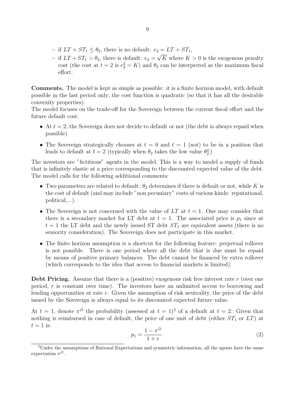- $-$  if  $LT + ST_1 \leq \theta_2$ , there is no default:  $e_2 = LT + ST_1$ ,
- $-$  if  $LT + ST_1 > \theta_2$ , there is default:  $e_2 = \sqrt{K}$  where  $K > 0$  is the exogenous penalty cost (the cost at  $t = 2$  is  $e_2^2 = K$ ) and  $\theta_2$  can be interpreted as the maximum fiscal effort.

**Comments.** The model is kept as simple as possible: it is a finite horizon model, with default possible in the last period only; the cost function is quadratic (so that it has all the desirable convexity properties).

The model focuses on the trade-off for the Sovereign between the current fiscal effort and the future default cost:

- At  $t = 2$ , the Sovereign does not decide to default or not (the debt is always repaid when possible)
- The Sovereign strategically chooses at  $t = 0$  and  $t = 1$  (not) to be in a position that leads to default at  $t = 2$  (typically when  $\theta_2$  takes the low value  $\theta_2^L$ )

The investors are "fictitious" agents in the model. This is a way to model a supply of funds that is infinitely elastic at a price corresponding to the discounted expected value of the debt. The model calls for the following additional comments:

- Two parameters are related to default:  $\theta_2$  determines if there is default or not, while *K* is the cost of default (and may include "non pecuniary" costs of various kinds: reputational, political,...).
- *•* The Sovereign is not concerned with the value of *LT* at *t* = 1. One may consider that there is a secondary market for LT debt at  $t = 1$ . The associated price is  $p_1$  since at  $t = 1$  the LT debt and the newly issued ST debt  $ST_1$  are equivalent assets (there is no seniority consideration). The Sovereign does not participate in this market.
- The finite horizon assumption is a shortcut for the following feature: perpetual rollover is not possible. There is one period where all the debt that is due must be repaid by means of positive primary balances. The debt cannot be financed by extra rollover (which corresponds to the idea that access to financial markets is limited).

**Debt Pricing.** Assume that there is a (positive) exogenous risk free interest rate r (over one period, *r* is constant over time). The investors have an unlimited access to borrowing and lending opportunities at rate *r*. Given the assumption of risk neutrality, the price of the debt issued by the Sovereign is always equal to its discounted expected future value.

At  $t = 1$ , denote  $\pi^D$  the probability (assessed at  $t = 1$ )<sup>3</sup> of a default at  $t = 2$ . Given that nothing is reimbursed in case of default, the price of one unit of debt (either  $ST_1$  or  $LT$ ) at  $t = 1$  is:

$$
p_1 = \frac{1 - \pi^D}{1 + r}.\tag{2}
$$

<sup>3</sup>Under the assumptions of Rational Expectations and symmetric information, all the agents have the same expectation *π D*.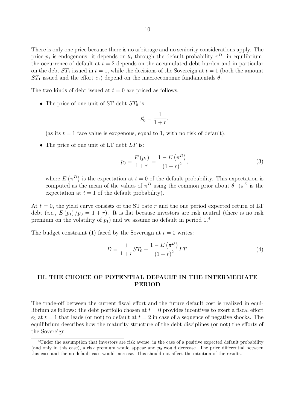There is only one price because there is no arbitrage and no seniority considerations apply. The price  $p_1$  is endogenous: it depends on  $\theta_1$  through the default probability  $\pi^D$ : in equilibrium, the occurrence of default at  $t = 2$  depends on the accumulated debt burden and in particular on the debt  $ST_1$  issued in  $t = 1$ , while the decisions of the Sovereign at  $t = 1$  (both the amount *ST*<sub>1</sub> issued and the effort  $e_1$ ) depend on the macroeconomic fundamentals  $\theta_1$ .

The two kinds of debt issued at  $t = 0$  are priced as follows.

• The price of one unit of ST debt  $ST_0$  is:

$$
p_0' = \frac{1}{1+r},
$$

(as its  $t = 1$  face value is exogenous, equal to 1, with no risk of default).

*•* The price of one unit of LT debt *LT* is:

$$
p_0 = \frac{E(p_1)}{1+r} = \frac{1 - E(\pi^D)}{(1+r)^2},
$$
\n(3)

where  $E(\pi^D)$  is the expectation at  $t=0$  of the default probability. This expectation is computed as the mean of the values of  $\pi^D$  using the common prior about  $\theta_1$  ( $\pi^D$  is the expectation at  $t = 1$  of the default probability).

At *t* = 0, the yield curve consists of the ST rate *r* and the one period expected return of LT debt (*i.e.*,  $E(p_1)/p_0 = 1 + r$ ). It is flat because investors are risk neutral (there is no risk premium on the volatility of  $p_1$ ) and we assume no default in period  $1<sup>4</sup>$ 

The budget constraint (1) faced by the Sovereign at  $t = 0$  writes:

$$
D = \frac{1}{1+r}ST_0 + \frac{1-E(\pi^D)}{(1+r)^2}LT.
$$
\n(4)

# **III. THE CHOICE OF POTENTIAL DEFAULT IN THE INTERMEDIATE PERIOD**

The trade-off between the current fiscal effort and the future default cost is realized in equilibrium as follows: the debt portfolio chosen at  $t = 0$  provides incentives to exert a fiscal effort  $e_1$  at  $t = 1$  that leads (or not) to default at  $t = 2$  in case of a sequence of negative shocks. The equilibrium describes how the maturity structure of the debt disciplines (or not) the efforts of the Sovereign.

<sup>&</sup>lt;sup>4</sup>Under the assumption that investors are risk averse, in the case of a positive expected default probability (and only in this case), a risk premium would appear and  $p<sub>0</sub>$  would decrease. The price differential between this case and the no default case would increase. This should not affect the intuition of the results.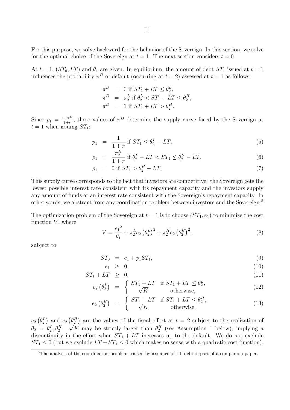For this purpose, we solve backward for the behavior of the Sovereign. In this section, we solve for the optimal choice of the Sovereign at  $t = 1$ . The next section considers  $t = 0$ .

At  $t = 1$ ,  $(ST_0, LT)$  and  $\theta_1$  are given. In equilibrium, the amount of debt  $ST_1$  issued at  $t = 1$ influences the probability  $\pi^D$  of default (occurring at  $t = 2$ ) assessed at  $t = 1$  as follows:

$$
\begin{array}{rcl}\n\pi^D & = & 0 \text{ if } ST_1 + LT \le \theta_2^L, \\
\pi^D & = & \pi_2^L \text{ if } \theta_2^L < ST_1 + LT \le \theta_2^H, \\
\pi^D & = & 1 \text{ if } ST_1 + LT > \theta_2^H.\n\end{array}
$$

Since  $p_1 = \frac{1-\pi^D}{1+r}$ , these values of  $\pi^D$  determine the supply curve faced by the Sovereign at  $t = 1$  when issuing  $ST_1$ :

$$
p_1 = \frac{1}{1+r} \text{ if } ST_1 \le \theta_2^L - LT,\tag{5}
$$

$$
p_1 = \frac{\pi_2^H}{1+r} \text{ if } \theta_2^L - LT < ST_1 \le \theta_2^H - LT, \tag{6}
$$

$$
p_1 = 0 \text{ if } ST_1 > \theta_2^H - LT. \tag{7}
$$

This supply curve corresponds to the fact that investors are competitive: the Sovereign gets the lowest possible interest rate consistent with its repayment capacity and the investors supply any amount of funds at an interest rate consistent with the Sovereign's repayment capacity. In other words, we abstract from any coordination problem between investors and the Sovereign.<sup>5</sup>

The optimization problem of the Sovereign at  $t = 1$  is to choose  $(ST_1, e_1)$  to minimize the cost function  $V$ , where

$$
V = \frac{{e_1}^2}{\theta_1} + \pi_2^L e_2 \left(\theta_2^L\right)^2 + \pi_2^H e_2 \left(\theta_2^H\right)^2, \tag{8}
$$

subject to

$$
ST_0 = e_1 + p_1 ST_1, \t\t(9)
$$

$$
e_1 \geq 0,\tag{10}
$$

$$
ST_1 + LT \geq 0,\tag{11}
$$

$$
e_2 \left(\theta_2^L\right) = \begin{cases} ST_1 + LT & \text{if } ST_1 + LT \le \theta_2^L, \\ \sqrt{K} & \text{otherwise,} \end{cases}
$$
(12)

$$
e_2 \left(\theta_2^H\right) = \begin{cases} ST_1 + LT & \text{if } ST_1 + LT \le \theta_2^H, \\ \sqrt{K} & \text{otherwise.} \end{cases}
$$
(13)

 $e_2\left(\theta_2^L\right)$  and  $e_2\left(\theta_2^H\right)$  are the values of the fiscal effort at  $t=2$  subject to the realization of  $\theta_2 = \theta_2^L, \theta_2^H$ .  $\sqrt{K}$  may be strictly larger than  $\theta_2^H$  (see Assumption 1 below), implying a discontinuity in the effort when  $ST_1 + LT$  increases up to the default. We do not exclude  $ST_1 \leq 0$  (but we exclude  $LT + ST_1 \leq 0$  which makes no sense with a quadratic cost function).

<sup>5</sup>The analysis of the coordination problems raised by issuance of LT debt is part of a companion paper.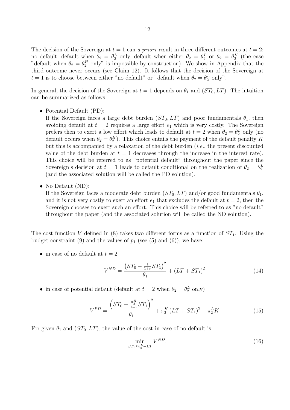The decision of the Sovereign at  $t = 1$  can *a priori* result in three different outcomes at  $t = 2$ : no default, default when  $\theta_2 = \theta_2^L$  only, default when either  $\theta_2 = \theta_2^L$  or  $\theta_2 = \theta_2^H$  (the case "default when  $\theta_2 = \theta_2^H$  only" is impossible by construction). We show in Appendix that the third outcome never occurs (see Claim 12). It follows that the decision of the Sovereign at  $t = 1$  is to choose between either "no default" or "default when  $\theta_2 = \theta_2^L$  only".

In general, the decision of the Sovereign at  $t = 1$  depends on  $\theta_1$  and  $(ST_0, LT)$ . The intuition can be summarized as follows:

*•* Potential Default (PD):

If the Sovereign faces a large debt burden  $(ST_0, LT)$  and poor fundamentals  $\theta_1$ , then avoiding default at  $t = 2$  requires a large effort  $e_1$  which is very costly. The Sovereign prefers then to exert a low effort which leads to default at  $t = 2$  when  $\theta_2 = \theta_2^L$  only (no default occurs when  $\theta_2 = \theta_2^H$ ). This choice entails the payment of the default penalty *K* but this is accompanied by a relaxation of the debt burden (*i.e.*, the present discounted value of the debt burden at  $t = 1$  decreases through the increase in the interest rate). This choice will be referred to as "potential default" throughout the paper since the Sovereign's decision at  $t = 1$  leads to default conditional on the realization of  $\theta_2 = \theta_2^L$ (and the associated solution will be called the PD solution).

*•* No Default (ND):

If the Sovereign faces a moderate debt burden  $(ST_0, LT)$  and/or good fundamentals  $\theta_1$ , and it is not very costly to exert an effort  $e_1$  that excludes the default at  $t = 2$ , then the Sovereign chooses to exert such an effort. This choice will be referred to as "no default" throughout the paper (and the associated solution will be called the ND solution).

The cost function *V* defined in (8) takes two different forms as a function of  $ST_1$ . Using the budget constraint  $(9)$  and the values of  $p_1$  (see  $(5)$  and  $(6)$ ), we have:

• in case of no default at  $t = 2$ 

$$
V^{ND} = \frac{(ST_0 - \frac{1}{1+r}ST_1)^2}{\theta_1} + (LT + ST_1)^2
$$
\n(14)

• in case of potential default (default at  $t = 2$  when  $\theta_2 = \theta_2^L$  only)

$$
V^{PD} = \frac{\left(ST_0 - \frac{\pi_2^H}{1+r}ST_1\right)^2}{\theta_1} + \pi_2^H \left(LT + ST_1\right)^2 + \pi_2^L K\tag{15}
$$

For given  $\theta_1$  and  $(ST_0, LT)$ , the value of the cost in case of no default is

$$
\min_{ST_1 \le \theta_2^L - LT} V^{ND}.\tag{16}
$$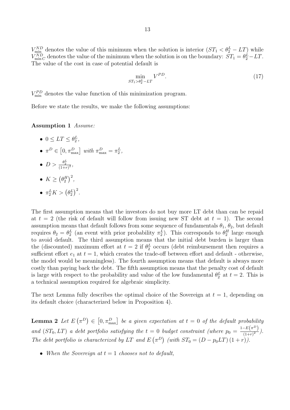$V_{\text{min}}^{ND}$  denotes the value of this minimum when the solution is interior  $(ST_1 < \theta_2^L - LT)$  while  $V_{\text{min }C}^{ND}$  denotes the value of the minimum when the solution is on the boundary:  $ST_1 = \theta_2^L - LT$ . The value of the cost in case of potential default is

$$
\min_{ST_1 > \theta_2^L - LT} V^{PD}.\tag{17}
$$

 $V_{\min}^{PD}$  denotes the value function of this minimization program.

Before we state the results, we make the following assumptions:

**Assumption 1** *Assume:*

- $0 \le LT \le \theta_2^L$ ,
- $\pi^D \in [0, \pi_{\text{max}}^D]$  *with*  $\pi_{\text{max}}^D = \pi_2^L$ ,
- $D > \frac{\theta_2^L}{(1+r)^2}$
- $K \geq (\theta_2^H)^2$ ,
- $\pi_2^L K > (\theta_2^L)^2$ .

The first assumption means that the investors do not buy more LT debt than can be repaid at  $t = 2$  (the risk of default will follow from issuing new ST debt at  $t = 1$ ). The second assumption means that default follows from some sequence of fundamentals  $\theta_1$ ,  $\theta_2$ , but default requires  $\theta_2 = \theta_2^L$  (an event with prior probability  $\pi_2^L$ ). This corresponds to  $\theta_2^H$  large enough to avoid default. The third assumption means that the initial debt burden is larger than the (discounted) maximum effort at  $t = 2$  if  $\theta_2^L$  occurs (debt reimbursement then requires a sufficient effort  $e_1$  at  $t = 1$ , which creates the trade-off between effort and default - otherwise, the model would be meaningless). The fourth assumption means that default is always more costly than paying back the debt. The fifth assumption means that the penalty cost of default is large with respect to the probability and value of the low fundamental  $\theta_2^L$  at  $t = 2$ . This is a technical assumption required for algebraic simplicity.

The next Lemma fully describes the optimal choice of the Sovereign at  $t = 1$ , depending on its default choice (characterized below in Proposition 4).

**Lemma 2** Let  $E(\pi^D) \in [0, \pi_{\text{max}}^D]$  be a given expectation at  $t = 0$  of the default probability *and* (*ST*<sub>0</sub>*, LT*) *a debt portfolio satisfying the*  $t = 0$  *budget constraint (where*  $p_0 = \frac{1 - E(\pi^D)}{(1 + r)^2}$  $\frac{-E(\mu)}{(1+r)^2}$ . *The debt portfolio is characterized by LT and*  $E(\pi^D)$  (with  $ST_0 = (D - p_0LT)(1 + r)$ ).

*• When the Sovereign at t* = 1 *chooses not to default,*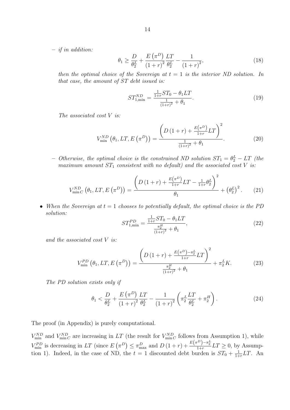**–** *if in addition:*

$$
\theta_1 \ge \frac{D}{\theta_2^L} + \frac{E(\pi^D)}{(1+r)^2} \frac{LT}{\theta_2^L} - \frac{1}{(1+r)^2},\tag{18}
$$

*then the optimal choice of the Sovereign at*  $t = 1$  *is the interior ND solution. In that case, the amount of ST debt issued is:*

$$
ST_{1,\min}^{ND} = \frac{\frac{1}{1+r}ST_0 - \theta_1 LT}{\frac{1}{(1+r)^2} + \theta_1}.
$$
\n(19)

*The associated cost V is:*

$$
V_{\min}^{ND}(\theta_1, LT, E(\pi^D)) = \frac{\left(D(1+r) + \frac{E(\pi^D)}{1+r}LT\right)^2}{\frac{1}{(1+r)^2} + \theta_1}.
$$
 (20)

 $\sigma$  *– Otherwise, the optimal choice is the constrained ND solution*  $ST_1 = \theta_2^L - LT$  (the *maximum amount*  $ST_1$  *consistent with no default) and the associated cost*  $V$  *is:* 

$$
V_{\min C}^{ND} (\theta_1, LT, E(\pi^D)) = \frac{\left( D(1+r) + \frac{E(\pi^D)}{1+r} LT - \frac{1}{1+r} \theta_2^L \right)^2}{\theta_1} + (\theta_2^L)^2.
$$
 (21)

*• When the Sovereign at t* = 1 *chooses to potentially default, the optimal choice is the PD solution:*

$$
ST_{1,\min}^{PD} = \frac{\frac{1}{1+r}ST_0 - \theta_1 LT}{\frac{\pi_2^H}{(1+r)^2} + \theta_1},\tag{22}
$$

*and the associated cost V is:*

$$
V_{\min}^{PD}(\theta_1, LT, E(\pi^D)) = \frac{\left(D(1+r) + \frac{E(\pi^D) - \pi_2^L}{1+r}LT\right)^2}{\frac{\pi_2^H}{(1+r)^2} + \theta_1} + \pi_2^LK.
$$
 (23)

*The PD solution exists only if*

$$
\theta_1 < \frac{D}{\theta_2^L} + \frac{E(\pi^D)}{\left(1+r\right)^2} \frac{LT}{\theta_2^L} - \frac{1}{\left(1+r\right)^2} \left(\pi_2^L \frac{LT}{\theta_2^L} + \pi_2^H\right). \tag{24}
$$

The proof (in Appendix) is purely computational.

 $V_{\min}^{ND}$  and  $V_{\min C}^{ND}$  are increasing in *LT* (the result for  $V_{\min C}^{ND}$  follows from Assumption 1), while  $V_{\min}^{PD}$  is decreasing in LT (since  $E(\pi^D) \leq \pi_{\max}^D$  and  $D(1+r) + \frac{E(\pi^D) - \pi_2^L}{1+r}LT \geq 0$ , by Assumption 1). Indeed, in the case of ND, the  $t = 1$  discounted debt burden is  $ST_0 + \frac{1}{1+1}$  $\frac{1}{1+r}LT$ . An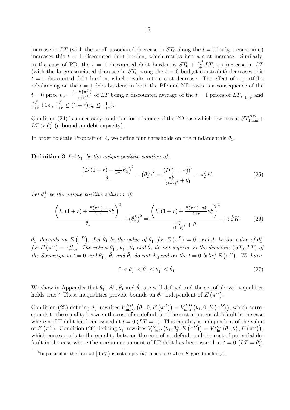increase in  $LT$  (with the small associated decrease in  $ST_0$  along the  $t = 0$  budget constraint) increases this  $t = 1$  discounted debt burden, which results into a cost increase. Similarly, in the case of PD, the  $t = 1$  discounted debt burden is  $ST_0 + \frac{\pi_2^H}{1+r}LT$ , an increase in LT (with the large associated decrease in  $ST_0$  along the  $t = 0$  budget constraint) decreases this  $t = 1$  discounted debt burden, which results into a cost decrease. The effect of a portfolio rebalancing on the  $t = 1$  debt burdens in both the PD and ND cases is a consequence of the  $t = 0$  price  $p_0 = \frac{1 - E(\pi^D)}{(1+r)^2}$  $\frac{(-E(\pi))}{(1+r)^2}$  of *LT* being a discounted average of the  $t = 1$  prices of *LT*,  $\frac{1}{1+r}$  $\frac{1}{1+r}$  and  $\frac{\pi_2^H}{1+r}$  (*i.e.*,  $\frac{\pi_2^H}{1+r} \leq (1+r) p_0 \leq \frac{1}{1+r}$  $\frac{1}{1+r}$ .

Condition (24) is a necessary condition for existence of the PD case which rewrites as  $ST^{PD}_{1,\text{min}}$ +  $LT > \theta_2^L$  (a bound on debt capacity).

In order to state Proposition 4, we define four thresholds on the fundamentals  $\theta_1$ .

**Definition 3** *Let*  $\theta_1^-$  *be the unique positive solution of:* 

$$
\frac{\left(D\left(1+r\right)-\frac{1}{1+r}\theta_2^L\right)^2}{\theta_1}+\left(\theta_2^L\right)^2=\frac{\left(D\left(1+r\right)\right)^2}{\frac{\pi_2^H}{\left(1+r\right)^2}+\theta_1}+\pi_2^LK.\tag{25}
$$

Let  $\theta_1^+$  be the unique positive solution of:

$$
\frac{\left(D\left(1+r\right)+\frac{E\left(\pi^{D}\right)-1}{1+r}\theta_{2}^{L}\right)^{2}}{\theta_{1}}+\left(\theta_{2}^{L}\right)^{2}=\frac{\left(D\left(1+r\right)+\frac{E\left(\pi^{D}\right)-\pi_{2}^{L}}{1+r}\theta_{2}^{L}\right)^{2}}{\frac{\pi_{2}^{H}}{\left(1+r\right)^{2}}+\theta_{1}}+\pi_{2}^{L}K.\tag{26}
$$

 $\theta_1^+$  depends on  $E(\pi^D)$ . Let  $\hat{\theta}_1$  be the value of  $\theta_1^+$  for  $E(\pi^D) = 0$ , and  $\check{\theta}_1$  be the value of  $\theta_1^+$ for  $E(\pi^D) = \pi_{\max}^D$ . The values  $\theta_1^-$ ,  $\theta_1^+$ ,  $\hat{\theta}_1$  and  $\check{\theta}_1$  do not depend on the decisions  $(ST_0, LT)$  of *the Sovereign at*  $t = 0$  *and*  $\theta_1^-$ ,  $\hat{\theta}_1$  *and*  $\check{\theta}_1$  *do not depend on the*  $t = 0$  *belief*  $E(\pi^D)$ *. We have* 

$$
0 < \theta_1^- < \hat{\theta}_1 \le \theta_1^+ \le \check{\theta}_1. \tag{27}
$$

We show in Appendix that  $\theta_1^-$ ,  $\theta_1^+$ ,  $\check{\theta}_1$  and  $\hat{\theta}_1$  are well defined and the set of above inequalities holds true.<sup>6</sup> These inequalities provide bounds on  $\theta_1^+$  independent of  $E(\pi^D)$ .

Condition (25) defining  $\theta_1^-$  rewrites  $V_{\min C}^{ND}(\theta_1, 0, E(\pi^D)) = V_{\min}^{PD}(\theta_1, 0, E(\pi^D))$ , which corresponds to the equality between the cost of no default and the cost of potential default in the case where no LT debt has been issued at  $t = 0$  ( $LT = 0$ ). This equality is independent of the value of  $E(\pi^D)$ . Condition (26) defining  $\theta_1^+$  rewrites  $V_{\min C}^{ND}(\theta_1, \theta_2^L, E(\pi^D)) = V_{\min}^{PD}(\theta_1, \theta_2^L, E(\pi^D)),$ which corresponds to the equality between the cost of no default and the cost of potential default in the case where the maximum amount of LT debt has been issued at  $t = 0$  ( $LT = \theta_2^L$ ,

<sup>&</sup>lt;sup>6</sup>In particular, the interval  $[0, \theta_1^-)$  is not empty  $(\theta_1^-$  tends to 0 when *K* goes to infinity).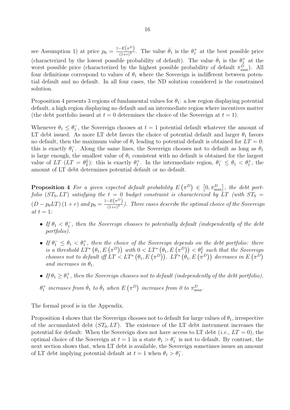see Assumption 1) at price  $p_0 = \frac{1 - E(\pi^D)}{(1+r)^2}$  $\frac{-E(\pi^D)}{(1+r)^2}$ . The value  $\hat{\theta}_1$  is the  $\theta_1^+$  at the best possible price (characterized by the lowest possible probability of default). The value  $\check{\theta}_1$  is the  $\theta_1^+$  at the worst possible price (characterized by the highest possible probability of default  $\pi_{\max}^D$ ). All four definitions correspond to values of  $\theta_1$  where the Sovereign is indifferent between potential default and no default. In all four cases, the ND solution considered is the constrained solution.

Proposition 4 presents 3 regions of fundamental values for  $\theta_1$ : a low region displaying potential default, a high region displaying no default and an intermediate region where incentives matter (the debt portfolio issued at  $t = 0$  determines the choice of the Sovereign at  $t = 1$ ).

Whenever  $\theta_1 \leq \theta_1^-$ , the Sovereign chooses at  $t=1$  potential default whatever the amount of LT debt issued. As more LT debt favors the choice of potential default and larger  $\theta_1$  favors no default, then the maximum value of  $\theta_1$  leading to potential default is obtained for  $LT = 0$ : this is exactly  $\theta_1^-$ . Along the same lines, the Sovereign chooses not to default as long as  $\theta_1$ is large enough, the smallest value of  $\theta_1$  consistent with no default is obtained for the largest value of *LT*  $(LT = \theta_2^L)$ : this is exactly  $\theta_1^+$ . In the intermediate region,  $\theta_1^- \leq \theta_1 < \theta_1^+$ , the amount of LT debt determines potential default or no default.

**Proposition 4** For a given expected default probability  $E(\pi^D) \in [0, \pi_{\max}^D]$ , the debt port*folio* ( $ST_0, LT$ ) *satisfying the*  $t = 0$  *budget constraint is characterized by*  $LT$  (with  $ST_0 =$  $(D - p_0LT) (1 + r)$  and  $p_0 = \frac{1 - E(\pi^D)}{(1+r)^2}$  $\frac{(-1)^{2}}{(1+r)^{2}}$ . Three cases describe the optimal choice of the Sovereign  $at t = 1$ :

- *• If θ*<sup>1</sup> *< θ<sup>−</sup>* 1 *, then the Sovereign chooses to potentially default (independently of the debt portfolio).*
- **•** *If*  $\theta_1^-$  ≤  $\theta_1$  <  $\theta_1^+$ , then the choice of the Sovereign depends on the debt portfolio: there *is a threshold*  $LT^*$   $(\theta_1, E(\pi^D))$  *with*  $0 < LT^*$   $(\theta_1, E(\pi^D)) < \theta_2^L$  such that the Sovereign *chooses not to default iff*  $LT < LT^*$   $(\theta_1, E(\pi^D))$ *.*  $LT^*$   $(\theta_1, E(\pi^D))$  decreases in  $E(\pi^D)$ *and increases in*  $\theta_1$ *.*
- If  $\theta_1 \geq \theta_1^+$ , then the Sovereign chooses not to default (independently of the debt portfolio).
- $\theta_1^+$  *increases from*  $\hat{\theta}_1$  *to*  $\check{\theta}_1$  *when*  $E\left(\pi^D\right)$  *increases from* 0 to  $\pi_{\max}^D$ .

The formal proof is in the Appendix.

Proposition 4 shows that the Sovereign chooses not to default for large values of  $\theta_1$ , irrespective of the accumulated debt  $(ST_0, LT)$ . The existence of the LT debt instrument increases the potential for default: When the Sovereign does not have access to LT debt (*i.e.*,  $LT = 0$ ), the optimal choice of the Sovereign at  $t = 1$  in a state  $\theta_1 > \theta_1^-$  is not to default. By contrast, the next section shows that, when LT debt is available, the Sovereign sometimes issues an amount of LT debt implying potential default at  $t = 1$  when  $\theta_1 > \theta_1^-$ .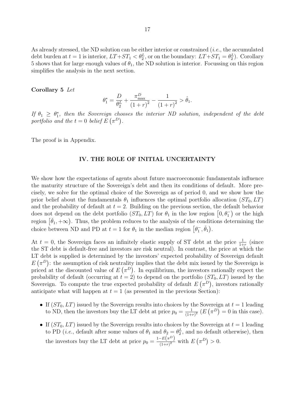As already stressed, the ND solution can be either interior or constrained (*i.e.*, the accumulated debt burden at  $t = 1$  is interior,  $LT + ST_1 < \theta_2^L$ , or on the boundary:  $LT + ST_1 = \theta_2^L$ ). Corollary 5 shows that for large enough values of  $\theta_1$ , the ND solution is interior. Focussing on this region simplifies the analysis in the next section.

#### **Corollary 5** *Let*

$$
\theta_1^* = \frac{D}{\theta_2^L} + \frac{\pi_{\text{max}}^D}{(1+r)^2} - \frac{1}{(1+r)^2} > \hat{\theta}_1.
$$

*If*  $\theta_1 \geq \theta_1^*$ , then the Sovereign chooses the interior ND solution, independent of the debt *portfolio and the*  $t = 0$  *belief*  $E(\pi^D)$ .

The proof is in Appendix.

#### **IV. THE ROLE OF INITIAL UNCERTAINTY**

We show how the expectations of agents about future macroeconomic fundamentals influence the maturity structure of the Sovereign's debt and then its conditions of default. More precisely, we solve for the optimal choice of the Sovereign as of period 0, and we show how the prior belief about the fundamentals  $\theta_1$  influences the optimal portfolio allocation  $(ST_0, LT)$ and the probability of default at  $t = 2$ . Building on the previous section, the default behavior does not depend on the debt portfolio  $(ST_0, LT)$  for  $\theta_1$  in the low region  $\left[0, \theta_1^-\right)$  or the high region  $[\check{\theta}_1, +\infty)$ . Thus, the problem reduces to the analysis of the conditions determining the choice between ND and PD at  $t = 1$  for  $\theta_1$  in the median region  $[\theta_1^-, \tilde{\theta}_1]$ .

At  $t = 0$ , the Sovereign faces an infinitely elastic supply of ST debt at the price  $\frac{1}{1+r}$  (since the ST debt is default-free and investors are risk neutral). In contrast, the price at which the LT debt is supplied is determined by the investors' expected probability of Sovereign default  $E(\pi^D)$ : the assumption of risk neutrality implies that the debt mix issued by the Sovereign is priced at the discounted value of  $E(\pi^D)$ . In equilibrium, the investors rationally expect the probability of default (occurring at  $t = 2$ ) to depend on the portfolio  $(ST_0, LT)$  issued by the Sovereign. To compute the true expected probability of default  $E(\pi^D)$ , investors rationally anticipate what will happen at  $t = 1$  (as presented in the previous Section):

- If  $(ST_0, LT)$  issued by the Sovereign results into choices by the Sovereign at  $t = 1$  leading to ND, then the investors buy the LT debt at price  $p_0 = \frac{1}{1+r}$  $\frac{1}{(1+r)^2}$   $(E(\pi^D)) = 0$  in this case).
- If  $(ST_0, LT)$  issued by the Sovereign results into choices by the Sovereign at  $t = 1$  leading to PD (*i.e.*, default after some values of  $\theta_1$  and  $\theta_2 = \theta_2^L$ , and no default otherwise), then the investors buy the LT debt at price  $p_0 = \frac{1 - E(\pi^D)}{(1 + r)^2}$  $\frac{-E(\pi)}{(1+r)^2}$  with  $E(\pi^D) > 0$ .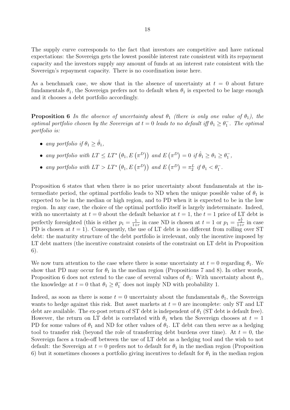The supply curve corresponds to the fact that investors are competitive and have rational expectations: the Sovereign gets the lowest possible interest rate consistent with its repayment capacity and the investors supply any amount of funds at an interest rate consistent with the Sovereign's repayment capacity. There is no coordination issue here.

As a benchmark case, we show that in the absence of uncertainty at  $t = 0$  about future fundamentals  $\theta_1$ , the Sovereign prefers not to default when  $\theta_1$  is expected to be large enough and it chooses a debt portfolio accordingly.

**Proposition 6** *In the absence of uncertainty about*  $\theta_1$  *(there is only one value of*  $\theta_1$ *), the optimal portfolio chosen by the Sovereign at*  $t = 0$  *leads to no default iff*  $\theta_1 \geq \theta_1^-$ . The optimal *portfolio is:*

• *any portfolio if*  $\theta_1 > \hat{\theta}_1$ .

• any portfolio with  $LT \le LT^* \left(\theta_1, E\left(\pi^D\right)\right)$  and  $E\left(\pi^D\right) = 0$  if  $\hat{\theta}_1 \ge \theta_1 \ge \theta_1^-$ ,

• *any portfolio with*  $LT > LT^*$   $(\theta_1, E(\pi^D))$  *and*  $E(\pi^D) = \pi_2^L$  *if*  $\theta_1 < \theta_1^-.$ 

Proposition 6 states that when there is no prior uncertainty about fundamentals at the intermediate period, the optimal portfolio leads to ND when the unique possible value of  $\theta_1$  is expected to be in the median or high region, and to PD when it is expected to be in the low region. In any case, the choice of the optimal portfolio itself is largely indeterminate. Indeed, with no uncertainty at  $t = 0$  about the default behavior at  $t = 1$ , the  $t = 1$  price of LT debt is perfectly foresighted (this is either  $p_1 = \frac{1}{1+1}$  $\frac{1}{1+r}$  in case ND is chosen at  $t = 1$  or  $p_1 = \frac{\pi_2^L}{1+r}$  in case PD is chosen at  $t = 1$ ). Consequently, the use of LT debt is no different from rolling over ST debt: the maturity structure of the debt portfolio is irrelevant, only the incentive imposed by LT debt matters (the incentive constraint consists of the constraint on LT debt in Proposition 6).

We now turn attention to the case where there is some uncertainty at  $t = 0$  regarding  $\theta_1$ . We show that PD may occur for  $\theta_1$  in the median region (Propositions 7 and 8). In other words, Proposition 6 does not extend to the case of several values of  $\theta_1$ : With uncertainty about  $\theta_1$ , the knowledge at  $t = 0$  that  $\theta_1 \ge \theta_1^-$  does not imply ND with probability 1.

Indeed, as soon as there is some  $t = 0$  uncertainty about the fundamentals  $\theta_1$ , the Sovereign wants to hedge against this risk. But asset markets at  $t = 0$  are incomplete: only ST and LT debt are available. The ex-post return of ST debt is independent of  $\theta_1$  (ST debt is default free). However, the return on LT debt is correlated with  $\theta_1$  when the Sovereign chooses at  $t = 1$ PD for some values of  $\theta_1$  and ND for other values of  $\theta_1$ . LT debt can then serve as a hedging tool to transfer risk (beyond the role of transferring debt burdens over time). At  $t = 0$ , the Sovereign faces a trade-off between the use of LT debt as a hedging tool and the wish to not default: the Sovereign at  $t = 0$  prefers not to default for  $\theta_1$  in the median region (Proposition 6) but it sometimes chooses a portfolio giving incentives to default for  $\theta_1$  in the median region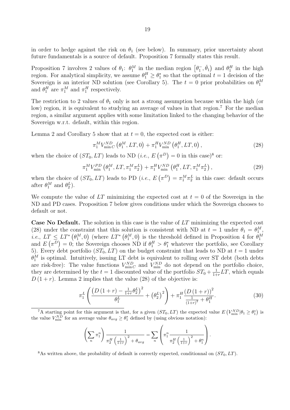in order to hedge against the risk on  $\theta_1$  (see below). In summary, prior uncertainty about future fundamentals is a source of default. Proposition 7 formally states this result.

Proposition 7 involves 2 values of  $\theta_1$ :  $\theta_1^M$  in the median region  $\left[\theta_1, \check{\theta}_1\right)$  and  $\theta_1^H$  in the high region. For analytical simplicity, we assume  $\theta_1^H \geq \theta_1^*$  so that the optimal  $t = 1$  decision of the Sovereign is an interior ND solution (see Corollary 5). The  $t = 0$  prior probabilities on  $\theta_1^M$ and  $\theta_1^H$  are  $\pi_1^M$  and  $\pi_1^H$  respectively.

The restriction to 2 values of  $\theta_1$  only is not a strong assumption because within the high (or low) region, it is equivalent to studying an average of values in that region.<sup>7</sup> For the median region, a similar argument applies with some limitation linked to the changing behavior of the Sovereign w.r.t. default, within this region.

Lemma 2 and Corollary 5 show that at  $t = 0$ , the expected cost is either:

$$
\pi_1^M V_{\min C}^{ND} (\theta_1^M, LT, 0) + \pi_1^H V_{\min}^{ND} (\theta_1^H, LT, 0) ,
$$
\n(28)

when the choice of  $(ST_0, LT)$  leads to ND  $(i.e., E(\pi^D) = 0$  in this case)<sup>8</sup> or:

$$
\pi_1^M V_{\min}^{PD} \left( \theta_1^M, LT, \pi_1^M \pi_2^L \right) + \pi_1^H V_{\min}^{ND} \left( \theta_1^H, LT, \pi_1^M \pi_2^L \right), \tag{29}
$$

when the choice of  $(ST_0, LT)$  leads to PD  $(i.e., E(\pi^D) = \pi_1^M \pi_2^L$  in this case: default occurs after  $\theta_1^M$  and  $\theta_2^L$ ).

We compute the value of  $LT$  minimizing the expected cost at  $t = 0$  of the Sovereign in the ND and PD cases. Proposition 7 below gives conditions under which the Sovereign chooses to default or not.

**Case No Default.** The solution in this case is the value of *LT* minimizing the expected cost (28) under the constraint that this solution is consistent with ND at  $t = 1$  under  $\theta_1 = \theta_1^M$ , *i.e.*,  $LT \leq LT^* \left( \theta_1^M, 0 \right)$  (where  $LT^* \left( \theta_1^M, 0 \right)$  is the threshold defined in Proposition 4 for  $\theta_1^M$ and  $E(\pi^D) = 0$ ; the Sovereign chooses ND if  $\theta_1^H > \theta_1^*$  whatever the portfolio, see Corollary 5). Every debt portfolio  $(ST_0, LT)$  on the budget constraint that leads to ND at  $t = 1$  under  $\theta_1^M$  is optimal. Intuitively, issuing LT debt is equivalent to rolling over ST debt (both debts are risk-free): The value functions  $V_{\text{min}}^{ND}$  and  $V_{\text{min}}^{ND}$  do not depend on the portfolio choice, they are determined by the  $t = 1$  discounted value of the portfolio  $ST_0 + \frac{1}{1+1}$  $\frac{1}{1+r}LT$ , which equals  $D(1+r)$ . Lemma 2 implies that the value (28) of the objective is:

$$
\pi_1^L \left( \frac{\left(D \left(1+r\right) - \frac{1}{1+r} \theta_2^L\right)^2}{\theta_1^L} + \left(\theta_2^L\right)^2 \right) + \pi_1^H \frac{\left(D \left(1+r\right)\right)^2}{\frac{1}{\left(1+r\right)^2} + \theta_1^H}.\tag{30}
$$

<sup>7</sup>A starting point for this argument is that, for a given  $(ST_0, LT)$  the expected value  $E(V_{\text{min}}^{ND}|\theta_1 \geq \theta_1^*)$  is the value  $V_{\text{min}}^{ND}$  for an average value  $\theta_{avg} \ge \theta_1^*$  defined by (using obvious notation):

$$
\left(\sum_{n} \pi_1^n\right) \frac{1}{\pi_2^H \left(\frac{1}{1+r}\right)^2 + \theta_{avg}} = \sum_{n} \left(\pi_1^n \frac{1}{\pi_2^H \left(\frac{1}{1+r}\right)^2 + \theta_1^n}\right).
$$

<sup>8</sup>As written above, the probability of default is correctly expected, conditionnal on  $(ST_0, LT)$ .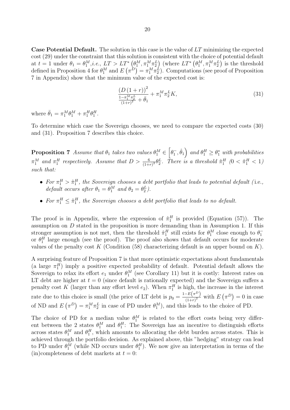**Case Potential Default.** The solution in this case is the value of *LT* minimizing the expected cost (29) under the constraint that this solution is consistent with the choice of potential default at  $t=1$  under  $\theta_1 = \theta_1^M$ , *i.e.*,  $LT > LT^*$   $(\theta_1^M, \pi_1^M \pi_2^L)$  (where  $LT^*$   $(\theta_1^M, \pi_1^M \pi_2^L)$  is the threshold defined in Proposition 4 for  $\theta_1^M$  and  $E(\pi^D) = \pi_1^M \pi_2^L$ ). Computations (see proof of Proposition 7 in Appendix) show that the minimum value of the expected cost is:

$$
\frac{\left(D\left(1+r\right)\right)^2}{\frac{1-\pi_1^M\pi_2^L}{\left(1+r\right)^2}+\bar{\theta}_1}+\pi_1^M\pi_2^LK,\tag{31}
$$

where  $\bar{\theta}_1 = \pi_1^M \theta_1^M + \pi_1^H \theta_1^H$ .

To determine which case the Sovereign chooses, we need to compare the expected costs (30) and (31). Proposition 7 describes this choice.

**Proposition 7** *Assume that*  $\theta_1$  *takes two values*  $\theta_1^M \in$  $\left[\theta_1^-, \hat{\theta}_1\right)$  *and*  $\theta_1^H \geq \theta_1^*$  *with probabilities*  $\pi_1^M$  and  $\pi_1^H$  respectively. Assume that  $D > \frac{6}{(1+r)^2} \theta_2^L$ . There is a threshold  $\hat{\pi}_1^H$   $(0 < \hat{\pi}_1^H < 1)$ *such that:*

- For  $\pi_1^H > \hat{\pi}_1^H$ , the Sovereign chooses a debt portfolio that leads to potential default (i.e., *default occurs after*  $\theta_1 = \theta_1^M$  *and*  $\theta_2 = \theta_2^L$ .
- For  $\pi_1^H \leq \hat{\pi}_1^H$ , the Sovereign chooses a debt portfolio that leads to no default.

The proof is in Appendix, where the expression of  $\hat{\pi}_1^H$  is provided (Equation (57)). The assumption on *D* stated in the proposition is more demanding than in Assumption 1. If this stronger assumption is not met, then the threshold  $\hat{\pi}_1^H$  still exists for  $\theta_1^M$  close enough to  $\theta_1^$ or  $\theta_1^H$  large enough (see the proof). The proof also shows that default occurs for moderate values of the penalty cost *K* (Condition (58) characterizing default is an upper bound on *K*).

A surprising feature of Proposition 7 is that more optimistic expectations about fundamentals (a large  $\pi_1^H$ ) imply a positive expected probability of default. Potential default allows the Sovereign to relax its effort  $e_1$  under  $\theta_1^M$  (see Corollary 11) but it is costly: Interest rates on LT debt are higher at  $t = 0$  (since default is rationally expected) and the Sovereign suffers a penalty cost *K* (larger than any effort level  $e_2$ ). When  $\pi_1^H$  is high, the increase in the interest rate due to this choice is small (the price of LT debt is  $p_0 = \frac{1 - E(\pi^D)}{(1 + r)^2}$  $\frac{-E(\pi)}{(1+r)^2}$  with  $E(\pi^D)=0$  in case of ND and  $E(\pi^D) = \pi_1^M \pi_2^L$  in case of PD under  $\theta_1^M$ , and this leads to the choice of PD.

The choice of PD for a median value  $\theta_1^M$  is related to the effort costs being very different between the 2 states  $\theta_1^M$  and  $\theta_1^H$ : The Sovereign has an incentive to distinguish efforts across states  $\theta_1^M$  and  $\theta_1^H$ , which amounts to allocating the debt burden across states. This is achieved through the portfolio decision. As explained above, this "hedging" strategy can lead to PD under  $\theta_1^M$  (while ND occurs under  $\theta_1^H$ ). We now give an interpretation in terms of the  $(in)$ completeness of debt markets at  $t = 0$ :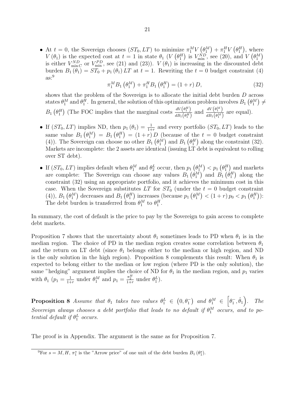• At  $t = 0$ , the Sovereign chooses  $(ST_0, LT)$  to minimize  $\pi_1^M V(\theta_1^M) + \pi_1^H V(\theta_1^H)$ , where *V*( $\theta_1$ ) is the expected cost at  $t = 1$  in state  $\theta_1$  (*V*( $\theta_1^H$ ) is  $V_{\min}^{ND}$ , see (20), and *V*( $\theta_1^M$ ) is either  $V_{\min C}^{ND}$  or  $V_{\min}^{PD}$ , see (21) and (23)).  $V(\theta_1)$  is increasing in the discounted debt burden  $B_1(\theta_1) = ST_0 + p_1(\theta_1)LT$  at  $t = 1$ . Rewriting the  $t = 0$  budget constraint (4)  $\mathrm{as:}^9$ 

$$
\pi_1^M B_1 \left( \theta_1^M \right) + \pi_1^H B_1 \left( \theta_1^H \right) = (1+r) D, \tag{32}
$$

shows that the problem of the Sovereign is to allocate the initial debt burden *D* across states  $\theta_1^M$  and  $\theta_1^H$ . In general, the solution of this optimization problem involves  $B_1(\theta_1^M) \neq$  $B_1(\theta_1^H)$  (The FOC implies that the marginal costs  $\frac{dV(\theta_1^H)}{dR_1(\theta_1^H)}$  $\frac{dV(\theta_1^H)}{dB_1(\theta_1^H)}$  and  $\frac{dV(\theta_1^M)}{dB_1(\theta_1^M)}$  $\frac{dV(0)}{dB_1(\theta_1^M)}$  are equal).

- If  $(ST_0, LT)$  implies ND, then  $p_1(\theta_1) = \frac{1}{1+r}$  and every portfolio  $(ST_0, LT)$  leads to the same value  $B_1(\theta_1^M) = B_1(\theta_1^H) = (1+r)D$  (because of the  $t = 0$  budget constraint (4)). The Sovereign can choose no other  $B_1(\theta_1^M)$  and  $B_1(\theta_1^H)$  along the constraint (32). Markets are incomplete: the 2 assets are identical (issuing LT debt is equivalent to rolling over ST debt).
- If  $(ST_0, LT)$  implies default when  $\theta_1^M$  and  $\theta_2^L$  occur, then  $p_1(\theta_1^M) < p_1(\theta_1^H)$  and markets are complete: The Sovereign can choose any values  $B_1(\theta_1^M)$  and  $B_1(\theta_1^H)$  along the constraint (32) using an appropriate portfolio, and it achieves the minimum cost in this case. When the Sovereign substitutes LT for  $ST_0$  (under the  $t = 0$  budget constraint (4)),  $B_1(\theta_1^M)$  decreases and  $B_1(\theta_1^H)$  increases (because  $p_1(\theta_1^M) < (1+r) p_0 < p_1(\theta_1^H)$ ): The debt burden is transferred from  $\theta_1^M$  to  $\theta_1^H$ .

In summary, the cost of default is the price to pay by the Sovereign to gain access to complete debt markets.

Proposition 7 shows that the uncertainty about  $\theta_1$  sometimes leads to PD when  $\theta_1$  is in the median region. The choice of PD in the median region creates some correlation between  $\theta_1$ and the return on LT debt (since  $\theta_1$  belongs either to the median or high region, and ND is the only solution in the high region). Proposition 8 complements this result: When  $\theta_1$  is expected to belong either to the median or low region (where PD is the only solution), the same "hedging" argument implies the choice of ND for  $\theta_1$  in the median region, and  $p_1$  varies with  $\theta_1$  ( $p_1 = \frac{1}{1+1}$  $\frac{1}{1+r}$  under  $\theta_1^M$  and  $p_1 = \frac{\pi_2^H}{1+r}$  under  $\theta_1^L$ ).

**Proposition 8** *Assume that*  $\theta_1$  *takes two values*  $\theta_1^L \in (0, \theta_1^-)$  *and*  $\theta_1^M \in$  $\left[\theta_1^-,\hat{\theta}_1\right)$ *. The Sovereign always chooses a debt portfolio that leads to no default if*  $\theta_1^M$  *occurs, and to potential default if*  $\theta_1^L$  *occurs.* 

The proof is in Appendix. The argument is the same as for Proposition 7.

<sup>&</sup>lt;sup>9</sup>For  $s = M, H, \pi_1^s$  is the "Arrow price" of one unit of the debt burden  $B_1(\theta_1^s)$ .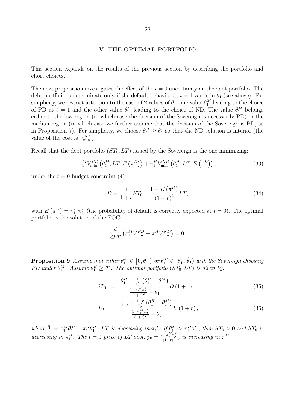#### **V. THE OPTIMAL PORTFOLIO**

This section expands on the results of the previous section by describing the portfolio and effort choices.

The next proposition investigates the effect of the  $t = 0$  uncertainty on the debt portfolio. The debt portfolio is determinate only if the default behavior at  $t = 1$  varies in  $\theta_1$  (see above). For simplicity, we restrict attention to the case of 2 values of  $\theta_1$ , one value  $\theta_1^M$  leading to the choice of PD at  $t = 1$  and the other value  $\theta_1^H$  leading to the choice of ND. The value  $\theta_1^M$  belongs either to the low region (in which case the decision of the Sovereign is necessarily PD) or the median region (in which case we further assume that the decision of the Sovereign is PD, as in Proposition 7). For simplicity, we choose  $\theta_1^H \geq \theta_1^*$  so that the ND solution is interior (the value of the cost is  $V_{\text{min}}^{ND}$ ).

Recall that the debt portfolio  $(ST_0, LT)$  issued by the Sovereign is the one minimizing:

$$
\pi_1^M V_{\min}^{PD} \left( \theta_1^M, LT, E\left( \pi^D \right) \right) + \pi_1^H V_{\min}^{ND} \left( \theta_1^H, LT, E\left( \pi^D \right) \right), \tag{33}
$$

under the  $t = 0$  budget constraint (4):

$$
D = \frac{1}{1+r}ST_0 + \frac{1-E(\pi^D)}{(1+r)^2}LT,
$$
\n(34)

with  $E(\pi^D) = \pi_1^M \pi_2^L$  (the probability of default is correctly expected at  $t = 0$ ). The optimal portfolio is the solution of the FOC:

$$
\frac{d}{dLT} \left( \pi_1^M V_{\text{min}}^{PD} + \pi_1^H V_{\text{min}}^{ND} \right) = 0.
$$

**Proposition 9** *Assume that either*  $\theta_1^M \in [0, \theta_1^-)$  or  $\theta_1^M \in [\theta_1^-, \check{\theta}_1]$  with the Sovereign choosing *PD* under  $\theta_1^M$ . Assume  $\theta_1^H \geq \theta_1^*$ . The optimal portfolio (*ST*<sub>0</sub>*, LT*) *is given by:* 

$$
ST_0 = \frac{\theta_1^H - \frac{1}{\pi_2^L} \left( \theta_1^H - \theta_1^M \right)}{\frac{1 - \pi_1^M \pi_2^L}{\left( 1 + r \right)^2} + \bar{\theta}_1} D \left( 1 + r \right), \tag{35}
$$

$$
LT = \frac{\frac{1}{1+r} + \frac{1+r}{\pi_2^L} \left(\theta_1^H - \theta_1^M\right)}{\frac{1-\pi_1^M \pi_2^L}{\left(1+r\right)^2} + \bar{\theta}_1} D\left(1+r\right),\tag{36}
$$

where  $\bar{\theta}_1 = \pi_1^M \theta_1^M + \pi_1^H \theta_1^H$ . LT is decreasing in  $\pi_1^H$ . If  $\theta_1^M > \pi_2^H \theta_1^H$ , then  $ST_0 > 0$  and  $ST_0$  is decreasing in  $\pi_1^H$ . The  $t = 0$  price of LT debt,  $p_0 = \frac{1 - \pi_1^M \pi_2^L}{(1+r)^2}$ , is increasing in  $\pi_1^H$ .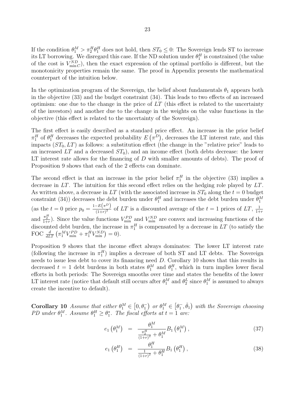If the condition  $\theta_1^M > \pi_2^H \theta_1^H$  does not hold, then  $ST_0 \leq 0$ : The Sovereign lends ST to increase its LT borrowing. We disregard this case. If the ND solution under  $\theta_1^H$  is constrained (the value of the cost is  $V_{\text{min} C}^{ND}$ , then the exact expression of the optimal portfolio is different, but the monotonicity properties remain the same. The proof in Appendix presents the mathematical counterpart of the intuition below.

In the optimization program of the Sovereign, the belief about fundamentals  $\theta_1$  appears both in the objective (33) and the budget constraint (34). This leads to two effects of an increased optimism: one due to the change in the price of *LT* (this effect is related to the uncertainty of the investors) and another due to the change in the weights on the value functions in the objective (this effect is related to the uncertainty of the Sovereign).

The first effect is easily described as a standard price effect. An increase in the prior belief  $\pi_1^H$  of  $\theta_1^H$  decreases the expected probability  $E(\pi^D)$ , decreases the LT interest rate, and this impacts  $(ST_0, LT)$  as follows: a substitution effect (the change in the "relative price" leads to an increased  $LT$  and a decreased  $ST_0$ ), and an income effect (both debts decrease: the lower LT interest rate allows for the financing of *D* with smaller amounts of debts). The proof of Proposition 9 shows that each of the 2 effects can dominate.

The second effect is that an increase in the prior belief  $\pi_1^H$  in the objective (33) implies a decrease in *LT*. The intuition for this second effect relies on the hedging role played by *LT*. As written above, a decrease in  $LT$  (with the associated increase in  $ST_0$  along the  $t = 0$  budget constraint (34)) decreases the debt burden under  $\theta_1^H$  and increases the debt burden under  $\theta_1^M$  $\left(\text{as the } t = 0 \text{ price } p_0 = \frac{1 - E(\pi^D)}{(1+r)^2}\right)$  $\frac{-E(\pi)}{(1+r)^2}$  of LT is a discounted average of the  $t=1$  prices of LT,  $\frac{1}{1+r}$ 1+*r* and  $\frac{\pi_2^H}{1+r}$ . Since the value functions  $V_{\text{min}}^{PD}$  and  $V_{\text{min}}^{ND}$  are convex and increasing functions of the discounted debt burden, the increase in  $\pi_1^H$  is compensated by a decrease in  $LT$  (to satisfy the FOC  $\frac{d}{dLT} \left( \pi_1^M V_{\text{min}}^{PD} + \pi_1^H V_{\text{min}}^{ND} \right) = 0$ .

Proposition 9 shows that the income effect always dominates: The lower LT interest rate (following the increase in  $\pi_1^H$ ) implies a decrease of both ST and LT debts. The Sovereign needs to issue less debt to cover its financing need *D*. Corollary 10 shows that this results in decreased  $t = 1$  debt burdens in both states  $\theta_1^M$  and  $\theta_1^H$ , which in turn implies lower fiscal efforts in both periods: The Sovereign smooths over time and states the benefits of the lower LT interest rate (notice that default still occurs after  $\theta_1^M$  and  $\theta_2^L$  since  $\theta_1^M$  is assumed to always create the incentive to default).

**Corollary 10** *Assume that either*  $\theta_1^M \in [0, \theta_1]$  *or*  $\theta_1^M \in [\theta_1^-, \check{\theta}_1]$  *with the Sovereign choosing PD* under  $\theta_1^M$ . Assume  $\theta_1^H \ge \theta_1^*$ . The fiscal efforts at  $t = 1$  are:

$$
e_1 \left( \theta_1^M \right) = \frac{\theta_1^M}{\frac{\pi_2^H}{(1+r)^2} + \theta_1^M} B_1 \left( \theta_1^M \right), \tag{37}
$$

$$
e_1 \left( \theta_1^H \right) = \frac{\theta_1^H}{\frac{1}{(1+r)^2} + \theta_1^H} B_1 \left( \theta_1^H \right), \tag{38}
$$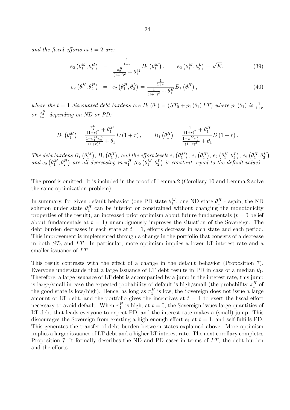*and the fiscal efforts at*  $t = 2$  *are:* 

$$
e_2 \left( \theta_1^M, \theta_2^H \right) = \frac{\frac{1}{1+r}}{\frac{\pi_2^H}{(1+r)^2} + \theta_1^M} B_1 \left( \theta_1^M \right), \qquad e_2 \left( \theta_1^M, \theta_2^L \right) = \sqrt{K}, \tag{39}
$$

$$
e_2 \left( \theta_1^H, \theta_2^H \right) = e_2 \left( \theta_1^H, \theta_2^L \right) = \frac{\frac{1}{1+r}}{\frac{1}{(1+r)^2} + \theta_1^H} B_1 \left( \theta_1^H \right), \tag{40}
$$

*where the*  $t = 1$  *discounted debt burdens are*  $B_1(\theta_1) = (ST_0 + p_1(\theta_1)LT)$  *where*  $p_1(\theta_1)$  *is*  $\frac{1}{1+r}$ *or*  $\frac{\pi_2^H}{1+r}$  depending on ND or PD:

$$
B_1\left(\theta_1^M\right) = \frac{\frac{\pi_2^H}{(1+r)^2} + \theta_1^M}{\frac{1-\pi_1^M \pi_2^L}{(1+r)^2} + \bar{\theta}_1} D\left(1+r\right), \qquad B_1\left(\theta_1^H\right) = \frac{\frac{1}{(1+r)^2} + \theta_1^H}{\frac{1-\pi_1^M \pi_2^L}{(1+r)^2} + \bar{\theta}_1} D\left(1+r\right).
$$

The debt burdens  $B_1(\theta_1^M)$ ,  $B_1(\theta_1^H)$ , and the effort levels  $e_1(\theta_1^M)$ ,  $e_1(\theta_1^H)$ ,  $e_2(\theta_1^H, \theta_2^L)$ ,  $e_2(\theta_1^H, \theta_2^H)$ and  $e_2(\theta_1^M, \theta_2^H)$  are all decreasing in  $\pi_1^H$  ( $e_2(\theta_1^M, \theta_2^L)$  is constant, equal to the default value).

The proof is omitted. It is included in the proof of Lemma 2 (Corollary 10 and Lemma 2 solve the same optimization problem).

In summary, for given default behavior (one PD state  $\theta_1^M$ , one ND state  $\theta_1^H$  - again, the ND solution under state  $\theta_1^H$  can be interior or constrained without changing the monotonicity properties of the result), an increased prior optimism about future fundamentals  $(t = 0$  belief about fundamentals at  $t = 1$ ) unambiguously improves the situation of the Sovereign: The debt burden decreases in each state at  $t = 1$ , efforts decrease in each state and each period. This improvement is implemented through a change in the portfolio that consists of a decrease in both  $ST_0$  and  $LT$ . In particular, more optimism implies a lower LT interest rate and a smaller issuance of *LT*.

This result contrasts with the effect of a change in the default behavior (Proposition 7). Everyone understands that a large issuance of LT debt results in PD in case of a median  $\theta_1$ . Therefore, a large issuance of LT debt is accompanied by a jump in the interest rate, this jump is large/small in case the expected probability of default is high/small (the probability  $\pi_1^H$  of the good state is low/high). Hence, as long as  $\pi_1^H$  is low, the Sovereign does not issue a large amount of LT debt, and the portfolio gives the incentives at  $t = 1$  to exert the fiscal effort necessary to avoid default. When  $\pi_1^H$  is high, at  $t=0$ , the Sovereign issues large quantities of LT debt that leads everyone to expect PD, and the interest rate makes a (small) jump. This discourages the Sovereign from exerting a high enough effort  $e_1$  at  $t = 1$ , and self-fulfills PD. This generates the transfer of debt burden between states explained above. More optimism implies a larger issuance of LT debt and a higher LT interest rate. The next corollary completes Proposition 7. It formally describes the ND and PD cases in terms of *LT*, the debt burden and the efforts.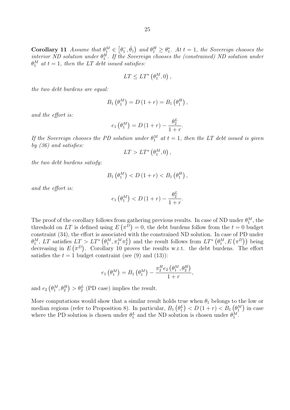**Corollary 11** Assume that  $\theta_1^M \in [\theta_1^-, \check{\theta}_1)$  and  $\theta_1^H \ge \theta_1^*$ . At  $t = 1$ , the Sovereign chooses the *interior ND solution under*  $\theta_1^H$ . If the Sovereign chooses the (constrained) ND solution under  $\theta_1^M$  *at*  $t = 1$ *, then the LT debt issued satisfies:* 

$$
LT \le LT^*\left(\theta_1^M, 0\right),
$$

*the two debt burdens are equal:*

$$
B_1(\theta_1^M) = D(1+r) = B_1(\theta_1^H),
$$

*and the effort is:*

$$
e_1\left(\theta_1^M\right) = D\left(1+r\right) - \frac{\theta_2^L}{1+r}.
$$

*If the Sovereign chooses the PD solution under*  $\theta_1^M$  *at*  $t = 1$ *, then the LT debt issued is given by (36) and satisfies:*

$$
LT > LT^* \left( \theta_1^M, 0 \right),
$$

*the two debt burdens satisfy:*

$$
B_1(\theta_1^M) < D(1+r) < B_1(\theta_1^H)
$$
,

*and the effort is:*

$$
e_1\left(\theta_1^M\right) < D\left(1+r\right) - \frac{\theta_2^L}{1+r}.
$$

The proof of the corollary follows from gathering previous results. In case of ND under  $\theta_1^M$ , the threshold on LT is defined using  $E(\pi^D) = 0$ , the debt burdens follow from the  $t = 0$  budget constraint (34), the effort is associated with the constrained ND solution. In case of PD under  $\theta_1^M$ , LT satisfies  $LT > LT^*$   $(\theta_1^M, \pi_1^M \pi_2^L)$  and the result follows from  $LT^*$   $(\theta_1^M, E(\pi^D))$  being decreasing in  $E(\pi^D)$ . Corollary 10 proves the results w.r.t. the debt burdens. The effort satisfies the  $t = 1$  budget constraint (see (9) and (13)):

$$
e_1\left(\theta_1^M\right) = B_1\left(\theta_1^M\right) - \frac{\pi_2^He_2\left(\theta_1^M, \theta_2^H\right)}{1+r},
$$

and  $e_2(\theta_1^M, \theta_2^H) > \theta_2^L$  (PD case) implies the result.

More computations would show that a similar result holds true when  $\theta_1$  belongs to the low or median regions (refer to Proposition 8). In particular,  $B_1(\theta_1^L) < D(1+r) < B_1(\theta_1^M)$  in case where the PD solution is chosen under  $\theta_1^L$  and the ND solution is chosen under  $\theta_1^M$ .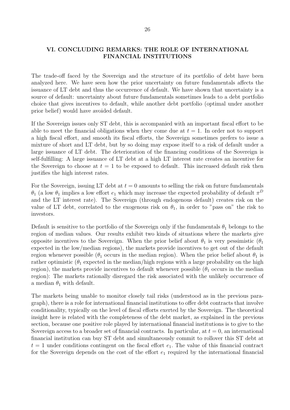# **VI. CONCLUDING REMARKS: THE ROLE OF INTERNATIONAL FINANCIAL INSTITUTIONS**

The trade-off faced by the Sovereign and the structure of its portfolio of debt have been analyzed here. We have seen how the prior uncertainty on future fundamentals affects the issuance of LT debt and thus the occurrence of default. We have shown that uncertainty is a source of default: uncertainty about future fundamentals sometimes leads to a debt portfolio choice that gives incentives to default, while another debt portfolio (optimal under another prior belief) would have avoided default.

If the Sovereign issues only ST debt, this is accompanied with an important fiscal effort to be able to meet the financial obligations when they come due at  $t = 1$ . In order not to support a high fiscal effort, and smooth its fiscal efforts, the Sovereign sometimes prefers to issue a mixture of short and LT debt, but by so doing may expose itself to a risk of default under a large issuance of LT debt. The deterioration of the financing conditions of the Sovereign is self-fulfilling: A large issuance of LT debt at a high LT interest rate creates an incentive for the Sovereign to choose at  $t = 1$  to be exposed to default. This increased default risk then justifies the high interest rates.

For the Sovereign, issuing LT debt at  $t = 0$  amounts to selling the risk on future fundamentals *θ*<sub>1</sub> (a low *θ*<sub>1</sub> implies a low effort *e*<sub>1</sub> which may increase the expected probability of default  $π<sup>D</sup>$ and the LT interest rate). The Sovereign (through endogenous default) creates risk on the value of LT debt, correlated to the exogenous risk on  $\theta_1$ , in order to "pass on" the risk to investors.

Default is sensitive to the portfolio of the Sovereign only if the fundamentals  $\theta_1$  belongs to the region of median values. Our results exhibit two kinds of situations where the markets give opposite incentives to the Sovereign. When the prior belief about  $\theta_1$  is very pessimistic  $(\theta_1)$ expected in the low/median regions), the markets provide incentives to get out of the default region whenever possible ( $\theta_1$  occurs in the median region). When the prior belief about  $\theta_1$  is rather optimistic  $(\theta_1$  expected in the median/high regions with a large probability on the high region), the markets provide incentives to default whenever possible  $(\theta_1$  occurs in the median region): The markets rationally disregard the risk associated with the unlikely occurrence of a median  $\theta_1$  with default.

The markets being unable to monitor closely tail risks (understood as in the previous paragraph), there is a role for international financial institutions to offer debt contracts that involve conditionality, typically on the level of fiscal efforts exerted by the Sovereign. The theoretical insight here is related with the completeness of the debt market, as explained in the previous section, because one positive role played by international financial institutions is to give to the Sovereign access to a broader set of financial contracts. In particular, at  $t = 0$ , an international financial institution can buy ST debt and simultaneously commit to rollover this ST debt at  $t = 1$  under conditions contingent on the fiscal effort  $e_1$ . The value of this financial contract for the Sovereign depends on the cost of the effort  $e_1$  required by the international financial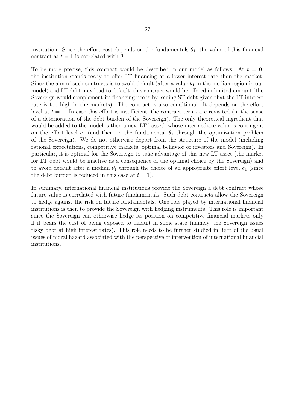institution. Since the effort cost depends on the fundamentals  $\theta_1$ , the value of this financial contract at  $t = 1$  is correlated with  $\theta_1$ .

To be more precise, this contract would be described in our model as follows. At  $t = 0$ , the institution stands ready to offer LT financing at a lower interest rate than the market. Since the aim of such contracts is to avoid default (after a value  $\theta_1$  in the median region in our model) and LT debt may lead to default, this contract would be offered in limited amount (the Sovereign would complement its financing needs by issuing ST debt given that the LT interest rate is too high in the markets). The contract is also conditional: It depends on the effort level at  $t = 1$ . In case this effort is insufficient, the contract terms are revisited (in the sense of a deterioration of the debt burden of the Sovereign). The only theoretical ingredient that would be added to the model is then a new LT "asset" whose intermediate value is contingent on the effort level  $e_1$  (and then on the fundamental  $\theta_1$  through the optimization problem of the Sovereign). We do not otherwise depart from the structure of the model (including rational expectations, competitive markets, optimal behavior of investors and Sovereign). In particular, it is optimal for the Sovereign to take advantage of this new LT asset (the market for LT debt would be inactive as a consequence of the optimal choice by the Sovereign) and to avoid default after a median  $\theta_1$  through the choice of an appropriate effort level  $e_1$  (since the debt burden is reduced in this case at  $t = 1$ ).

In summary, international financial institutions provide the Sovereign a debt contract whose future value is correlated with future fundamentals. Such debt contracts allow the Sovereign to hedge against the risk on future fundamentals. One role played by international financial institutions is then to provide the Sovereign with hedging instruments. This role is important since the Sovereign can otherwise hedge its position on competitive financial markets only if it bears the cost of being exposed to default in some state (namely, the Sovereign issues risky debt at high interest rates). This role needs to be further studied in light of the usual issues of moral hazard associated with the perspective of intervention of international financial institutions.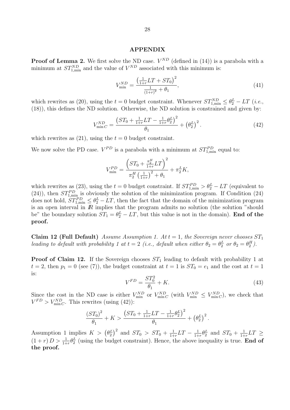#### **APPENDIX**

**Proof of Lemma 2.** We first solve the ND case.  $V^{ND}$  (defined in (14)) is a parabola with a minimum at  $ST_{1,\text{min}}^{ND}$  and the value of  $V^{ND}$  associated with this minimum is:

$$
V_{\min}^{ND} = \frac{\left(\frac{1}{1+r}LT + ST_0\right)^2}{\frac{1}{(1+r)^2} + \theta_1},\tag{41}
$$

which rewrites as (20), using the  $t = 0$  budget constraint. Whenever  $ST_{1,\text{min}}^{ND} \leq \theta_2^L - LT$  (*i.e.*, (18)), this defines the ND solution. Otherwise, the ND solution is constrained and given by:

$$
V_{\min C}^{ND} = \frac{\left(ST_0 + \frac{1}{1+r}LT - \frac{1}{1+r}\theta_2^L\right)^2}{\theta_1} + \left(\theta_2^L\right)^2. \tag{42}
$$

which rewrites as  $(21)$ , using the  $t = 0$  budget constraint.

We now solve the PD case.  $V^{PD}$  is a parabola with a minimum at  $ST_{1,\text{min}}^{PD}$  equal to:

$$
V_{\min}^{PD} = \frac{\left(ST_0 + \frac{\pi_2^H}{1+r}LT\right)^2}{\pi_2^H \left(\frac{1}{1+r}\right)^2 + \theta_1} + \pi_2^L K,
$$

which rewrites as (23), using the  $t = 0$  budget constraint. If  $ST_{1,\text{min}}^{PD} > \theta_2^L - LT$  (equivalent to (24)), then  $ST_{1,\text{min}}^{PD}$  is obviously the solution of the minimization program. If Condition (24) does not hold,  $ST^{PD}_{1,\text{min}} \leq \theta_2^L - LT$ , then the fact that the domain of the minimization program is an open interval in *IR* implies that the program admits no solution (the solution "should be" the boundary solution  $ST_1 = \theta_2^L - LT$ , but this value is not in the domain). **End of the proof.**

**Claim 12 (Full Default)** *Assume Assumption 1. At*  $t = 1$ *, the Sovereign never chooses*  $ST_1$ *leading to default with probability 1 at*  $t = 2$  (*i.e., default when either*  $\theta_2 = \theta_2^L$  *or*  $\theta_2 = \theta_2^H$ ).

**Proof of Claim 12.** If the Sovereign chooses  $ST_1$  leading to default with probability 1 at  $t = 2$ , then  $p_1 = 0$  (see (7)), the budget constraint at  $t = 1$  is  $ST_0 = e_1$  and the cost at  $t = 1$ is:

$$
V^{FD} = \frac{ST_0^2}{\theta_1} + K.
$$
\n(43)

Since the cost in the ND case is either  $V_{\text{min}}^{ND}$  or  $V_{\text{min}}^{ND}$  (with  $V_{\text{min}}^{ND} \leq V_{\text{min}}^{ND}$ ), we check that  $V^{FD} > V^{ND}_{\text{min}C}$ . This rewrites (using (42)):

$$
\frac{(ST_0)^2}{\theta_1} + K > \frac{\left(ST_0 + \frac{1}{1+r}LT - \frac{1}{1+r}\theta_2^L\right)^2}{\theta_1} + \left(\theta_2^L\right)^2.
$$

Assumption 1 implies  $K > (\theta_2^L)^2$  and  $ST_0 > ST_0 + \frac{1}{1+}$  $\frac{1}{1+r}LT - \frac{1}{1+r}$  $\frac{1}{1+r}\theta_2^L$  and  $ST_0 + \frac{1}{1+r}$  $\frac{1}{1+r}LT \ge$  $(1 + r) D > \frac{1}{1+r} \theta_2^L$  (using the budget constraint). Hence, the above inequality is true. **End of the proof.**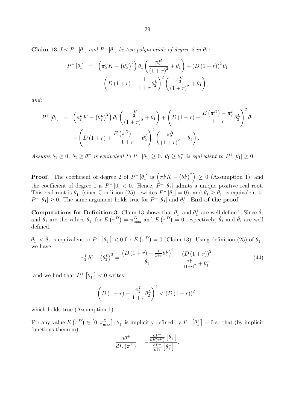**Claim 13** Let  $P$ <sup> $-$ </sup> [ $\theta$ <sub>1</sub>] and  $P$ <sup> $+$ </sup> [ $\theta$ <sub>1</sub>] *be two polynomials of degree 2 in*  $\theta$ <sub>1</sub>*:* 

$$
P^{-} [\theta_1] = \left( \pi_2^L K - (\theta_2^L)^2 \right) \theta_1 \left( \frac{\pi_2^H}{(1+r)^2} + \theta_1 \right) + \left( D (1+r) \right)^2 \theta_1 - \left( D (1+r) - \frac{1}{1+r} \theta_2^L \right)^2 \left( \frac{\pi_2^H}{(1+r)^2} + \theta_1 \right),
$$

*and:*

$$
P^{+} [\theta_1] = \left( \pi_2^L K - (\theta_2^L)^2 \right) \theta_1 \left( \frac{\pi_2^H}{(1+r)^2} + \theta_1 \right) + \left( D(1+r) + \frac{E(\pi^D) - \pi_2^L}{1+r} \theta_2^L \right)^2 \theta_1
$$

$$
- \left( D(1+r) + \frac{E(\pi^D) - 1}{1+r} \theta_2^L \right)^2 \left( \frac{\pi_2^H}{(1+r)^2} + \theta_1 \right).
$$

Assume  $\theta_1 \geq 0$ .  $\theta_1 \geq \theta_1^-$  is equivalent to  $P^-[{\theta_1}] \geq 0$ .  $\theta_1 \geq \theta_1^+$  is equivalent to  $P^+[{\theta_1}] \geq 0$ .

**Proof.** The coefficient of degree 2 of  $P^-\left[\theta_1\right]$  is  $\left(\pi_2^L K - \left(\theta_2^L\right)^2\right) \geq 0$  (Assumption 1), and the coefficient of degree 0 is  $P$ <sup> $-$ </sup> [0]  $<$  0. Hence,  $P$ <sup> $-$ </sup> [ $\theta$ <sub>1</sub>] admits a unique positive real root. This real root is  $\theta_1^-$  (since Condition (25) rewrites  $P^-$  [ $\theta_1$ ] = 0), and  $\theta_1 \ge \theta_1^-$  is equivalent to  $P$ <sup> $-$ </sup> [ $\theta$ <sub>1</sub>]  $\geq$  0. The same argument holds true for  $P$ <sup>+</sup> [ $\theta$ <sub>1</sub>] and  $\theta$ <sup>+</sup><sub>1</sub>. **End of the proof.** 

**Computations for Definition 3.** Claim 13 shows that  $\theta_1^-$  and  $\theta_1^+$  are well defined. Since  $\check{\theta}_1$ and  $\hat{\theta}_1$  are the values  $\theta_1^+$  for  $E(\pi^D) = \pi_{\max}^D$  and  $E(\pi^D) = 0$  respectively,  $\check{\theta}_1$  and  $\hat{\theta}_1$  are well defined.

 $\theta_1^- < \hat{\theta}_1$  is equivalent to  $P^+ \left[ \theta_1^- \right] < 0$  for  $E(\pi^D) = 0$  (Claim 13). Using definition (25) of  $\theta_1^-$ , we have:

$$
\pi_2^L K - \left(\theta_2^L\right)^2 = \frac{\left(D\left(1+r\right) - \frac{1}{1+r}\theta_2^L\right)^2}{\theta_1^-} - \frac{\left(D\left(1+r\right)\right)^2}{\frac{\pi_2^H}{\left(1+r\right)^2} + \theta_1^-},\tag{44}
$$

and we find that  $P^+$   $\left[\theta_1^-\right]$  < 0 writes:

$$
\left(D(1+r) - \frac{\pi_2^L}{1+r} \theta_2^L\right)^2 < \left(D(1+r)\right)^2,
$$

which holds true (Assumption 1).

For any value  $E(\pi^D) \in [0, \pi_{\max}^D], \theta_1^+$  is implicitly defined by  $P^+ \left[ \theta_1^+ \right] = 0$  so that (by implicit functions theorem):

$$
\frac{d\theta_1^+}{dE\left(\pi^D\right)} = -\frac{\frac{\partial P^+}{\partial E(\pi^D)}\left[\theta_1^+\right]}{\frac{\partial P^+}{\partial \theta_1}\left[\theta_1^+\right]}.
$$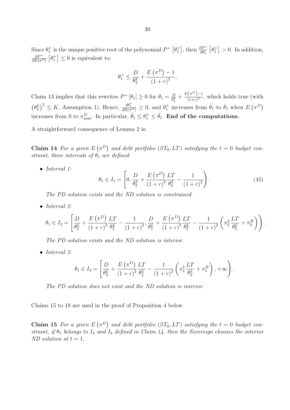Since  $\theta_1^+$  is the unique positive root of the polynomial  $P^+$   $\left[\theta_1^+\right]$ , then  $\frac{\partial P^+}{\partial \theta_1}$   $\left[\theta_1^+\right] > 0$ . In addition, *∂P* <sup>+</sup>  $\frac{\partial P^+}{\partial E(\pi^D)}\left[\theta_1^+\right] \leq 0$  is equivalent to:

$$
\theta_1^+ \le \frac{D}{\theta_2^L} + \frac{E(\pi^D) - 1}{(1+r)^2},
$$

Claim 13 implies that this rewrites  $P^+$  [ $\theta_1$ ]  $\geq 0$  for  $\theta_1 = \frac{D}{\theta_2^L}$  $\frac{D}{\theta_2^L} + \frac{E(\pi^D)-1}{(1+r)^2}$  $\frac{\binom{n}{2}-1}{(1+r)^2}$ , which holds true (with  $(\theta_2^L)^2 \leq K$ , Assumption 1). Hence,  $\frac{d\theta_1^+}{dE(\pi^D)} \geq 0$ , and  $\theta_1^+$  increases from  $\hat{\theta}_1$  to  $\check{\theta}_1$  when  $E(\pi^D)$ increases from 0 to  $\pi_{\text{max}}^D$ . In particular,  $\hat{\theta}_1 \leq \theta_1^+ \leq \check{\theta}_1$ . **End of the computations.** 

A straightforward consequence of Lemma 2 is:

**Claim 14** For a given  $E(\pi^D)$  and debt portfolio ( $ST_0, LT$ ) satisfying the  $t = 0$  budget con*straint, three intervals of*  $\theta_1$  *are defined:* 

*• Interval 1:*

$$
\theta_1 \in I_1 = \left[ 0, \frac{D}{\theta_2^L} + \frac{E(\pi^D)}{(1+r)^2} \frac{LT}{\theta_2^L} - \frac{1}{(1+r)^2} \right].
$$
 (45)

*The PD solution exists and the ND solution is constrained.*

*• Interval 2:*

$$
\theta_1 \in I_2 = \left[ \frac{D}{\theta_2^L} + \frac{E(\pi^D)}{(1+r)^2} \frac{LT}{\theta_2^L} - \frac{1}{(1+r)^2}, \frac{D}{\theta_2^L} + \frac{E(\pi^D)}{(1+r)^2} \frac{LT}{\theta_2^L} - \frac{1}{(1+r)^2} \left( \pi_2^L \frac{LT}{\theta_2^L} + \pi_2^H \right) \right).
$$

*The PD solution exists and the ND solution is interior.*

*• Interval 3:*

$$
\theta_1 \in I_3 = \left[ \frac{D}{\theta_2^L} + \frac{E(\pi^D)}{(1+r)^2} \frac{LT}{\theta_2^L} - \frac{1}{(1+r)^2} \left( \pi_2^L \frac{LT}{\theta_2^L} + \pi_2^H \right), +\infty \right).
$$

*The PD solution does not exist and the ND solution is interior.*

Claims 15 to 18 are used in the proof of Proposition 4 below.

**Claim 15** For a given  $E(\pi^D)$  and debt portfolio ( $ST_0, LT$ ) satisfying the  $t = 0$  budget con*straint, if*  $\theta_1$  *belongs to*  $I_2$  *and*  $I_3$  *defined in Claim 14, then the Sovereign chooses the interior ND solution at*  $t = 1$ *.*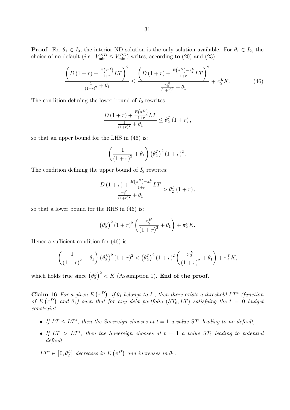**Proof.** For  $\theta_1 \in I_3$ , the interior ND solution is the only solution available. For  $\theta_1 \in I_2$ , the choice of no default (*i.e.*,  $V_{\text{min}}^{ND} \leq V_{\text{min}}^{PD}$ ) writes, according to (20) and (23):

$$
\frac{\left(D\left(1+r\right)+\frac{E\left(\pi^{D}\right)}{1+r}LT\right)^{2}}{\frac{1}{\left(1+r\right)^{2}}+\theta_{1}} \leq \frac{\left(D\left(1+r\right)+\frac{E\left(\pi^{D}\right)-\pi_{2}^{L}}{1+r}LT\right)^{2}}{\frac{\pi_{2}^{H}}{\left(1+r\right)^{2}}+\theta_{1}}+\pi_{2}^{L}K.\tag{46}
$$

The condition defining the lower bound of  $I_2$  rewrites:

$$
\frac{D\left(1+r\right)+\frac{E\left(\pi^D\right)}{1+r}LT}{\frac{1}{\left(1+r\right)^2}+\theta_1} \leq \theta_2^L\left(1+r\right),\,
$$

so that an upper bound for the LHS in (46) is:

$$
\left(\frac{1}{\left(1+r\right)^2}+\theta_1\right)\left(\theta_2^L\right)^2\left(1+r\right)^2.
$$

The condition defining the upper bound of  $I_2$  rewrites:

$$
\frac{D(1+r) + \frac{E(\pi^D) - \pi_2^L}{1+r} LT}{\frac{\pi_2^H}{(1+r)^2} + \theta_1} > \theta_2^L(1+r),
$$

so that a lower bound for the RHS in (46) is:

$$
\left(\theta_2^L\right)^2 (1+r)^2 \left(\frac{\pi_2^H}{(1+r)^2} + \theta_1\right) + \pi_2^L K.
$$

Hence a sufficient condition for (46) is:

$$
\left(\frac{1}{(1+r)^2} + \theta_1\right) (\theta_2^L)^2 (1+r)^2 < (\theta_2^L)^2 (1+r)^2 \left(\frac{\pi_2^H}{(1+r)^2} + \theta_1\right) + \pi_2^L K,
$$

which holds true since  $(\theta_2^L)^2 < K$  (Assumption 1). **End of the proof.** 

**Claim 16** For a given  $E(\pi^D)$ , if  $\theta_1$  belongs to  $I_1$ , then there exists a threshold  $LT^*$  (function *of*  $E(\pi^D)$  and  $\theta_1$ ) such that for any debt portfolio ( $ST_0, LT$ ) satisfying the  $t = 0$  budget *constraint:*

- If  $LT \le LT^*$ , then the Sovereign chooses at  $t = 1$  a value  $ST_1$  leading to no default,
- *• If LT > LT<sup>∗</sup> , then the Sovereign chooses at t* = 1 *a value ST*<sup>1</sup> *leading to potential default.*

 $LT^* \in [0, \theta_2^L]$  decreases in  $E(\pi^D)$  and increases in  $\theta_1$ .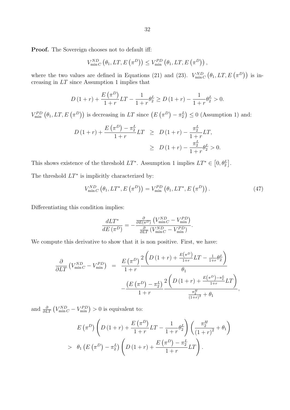**Proof.** The Sovereign chooses not to default iff:

$$
V_{\min C}^{ND} (\theta_1, LT, E(\pi^D)) \leq V_{\min}^{PD} (\theta_1, LT, E(\pi^D)),
$$

where the two values are defined in Equations (21) and (23).  $V_{\min C}^{ND}(\theta_1, LT, E(\pi^D))$  is increasing in *LT* since Assumption 1 implies that

$$
D(1+r) + \frac{E(\pi^D)}{1+r}LT - \frac{1}{1+r}\theta_2^L \ge D(1+r) - \frac{1}{1+r}\theta_2^L > 0.
$$

 $V_{\min}^{PD}(\theta_1, LT, E(\pi^D))$  is decreasing in *LT* since  $(E(\pi^D) - \pi_2^L) \leq 0$  (Assumption 1) and:

$$
D(1+r) + \frac{E(\pi^D) - \pi_2^L}{1+r} LT \ge D(1+r) - \frac{\pi_2^L}{1+r} LT, \ge D(1+r) - \frac{\pi_2^L}{1+r} \theta_2^L > 0.
$$

This shows existence of the threshold  $LT^*$ . Assumption 1 implies  $LT^* \in [0, \theta_2^L]$ . The threshold *LT<sup>∗</sup>* is implicitly characterized by:

$$
V_{\min C}^{ND} \left( \theta_1, LT^*, E\left(\pi^D\right) \right) = V_{\min}^{PD} \left( \theta_1, LT^*, E\left(\pi^D\right) \right). \tag{47}
$$

Differentiating this condition implies:

$$
\frac{dLT^*}{dE(\pi^D)} = -\frac{\frac{\partial}{\partial E(\pi^D)} (V_{\min C}^{ND} - V_{\min}^{PD})}{\frac{\partial}{\partial LT} (V_{\min C}^{ND} - V_{\min}^{PD})}.
$$

We compute this derivative to show that it is non positive. First, we have:

$$
\frac{\partial}{\partial LT} \left( V_{\min C}^{ND} - V_{\min}^{PD} \right) = \frac{E(\pi^D)}{1+r} \frac{2 \left( D(1+r) + \frac{E(\pi^D)}{1+r} LT - \frac{1}{1+r} \theta_2^L \right)}{\theta_1} - \frac{\left( E(\pi^D) - \pi_2^L \right) 2 \left( D(1+r) + \frac{E(\pi^D) - \pi_2^L}{1+r} LT \right)}{1+r},
$$

and  $\frac{\partial}{\partial LT} (V_{\text{min}}^{ND} - V_{\text{min}}^{PD}) > 0$  is equivalent to:

$$
E(\pi^{D}) \left( D(1+r) + \frac{E(\pi^{D})}{1+r} LT - \frac{1}{1+r} \theta_{2}^{L} \right) \left( \frac{\pi_{2}^{H}}{(1+r)^{2}} + \theta_{1} \right) > \theta_{1} (E(\pi^{D}) - \pi_{2}^{L}) \left( D(1+r) + \frac{E(\pi^{D}) - \pi_{2}^{L}}{1+r} LT \right).
$$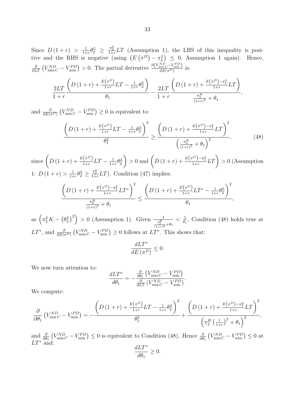Since  $D(1 + r) > \frac{1}{1+r}$  $\frac{1}{1+r}\theta_2^L \geq \frac{\pi_2^L}{1+r}LT$  (Assumption 1), the LHS of this inequality is positive and the RHS is negative (using  $(E(\pi^D) - \pi_2^L) \leq 0$ , Assumption 1 again). Hence,  $\frac{\partial}{\partial L} \left( V_{\min}^{ND} C - V_{\min}^{PD} \right) > 0$ . The partial derivative  $\frac{\partial (V_{\min}^{ND} C - V_{\min}^{PD})}{\partial E(\pi^D)}$  $\frac{\sin C^{-\nu} \min J}{\partial E(\pi^D)}$  is:

$$
\frac{2LT}{1+r} \frac{\left(D(1+r) + \frac{E(\pi^D)}{1+r}LT - \frac{1}{1+r} \theta_2^L\right)}{\theta_1} - \frac{2LT}{1+r} \frac{\left(D(1+r) + \frac{E(\pi^D) - \pi_2^L}{1+r}LT\right)}{\frac{\pi_2^H}{(1+r)^2} + \theta_1},
$$

and  $\frac{\partial}{\partial E(\pi^D)} (V_{\min}^{ND} - V_{\min}^{PD}) \geq 0$  is equivalent to:

$$
\frac{\left(D\left(1+r\right)+\frac{E\left(\pi^{D}\right)}{1+r}LT-\frac{1}{1+r}\theta_{2}^{L}\right)^{2}}{\theta_{1}^{2}} \geq \frac{\left(D\left(1+r\right)+\frac{E\left(\pi^{D}\right)-\pi_{2}^{L}}{1+r}LT\right)^{2}}{\left(\frac{\pi_{2}^{H}}{\left(1+r\right)^{2}}+\theta_{1}\right)^{2}},\tag{48}
$$

 $\text{since } \left( D(1+r) + \frac{E(\pi^D)}{1+r}LT - \frac{1}{1+r} \right)$  $\frac{1}{1+r}\theta_2^L$  $\left( D(1+r) + \frac{E(\pi^D)-\pi_2^L}{1+r}LT \right) > 0$  (Assumption 1:  $D(1+r) > \frac{1}{1+r}$  $\frac{1}{1+r}\theta_2^L \ge \frac{\pi_2^L}{1+r}LT$ . Condition (47) implies:

$$
\frac{\left(D(1+r) + \frac{E(\pi^D) - \pi_2^L}{1+r} LT^*\right)^2}{\frac{\pi_2^H}{(1+r)^2} + \theta_1} \le \frac{\left(D(1+r) + \frac{E(\pi^D)}{1+r}LT^* - \frac{1}{1+r}\theta_2^L\right)^2}{\theta_1},
$$

as  $\left(\pi_2^L K - (\theta_2^L)^2\right) > 0$  (Assumption 1). Given  $\frac{1}{\frac{\pi_2^L}{(1+r)^2} + \theta_1}$  $< \frac{1}{4}$  $\frac{1}{\theta_1}$ , Condition (48) holds true at  $LT^*$ , and  $\frac{\partial}{\partial E(\pi^D)}(V_{\text{min}}^{ND} - V_{\text{min}}^{PD}) \geq 0$  follows at  $LT^*$ . This shows that:

$$
\frac{dLT^*}{dE\left(\pi^D\right)} \le 0.
$$

We now turn attention to:

$$
\frac{dLT^*}{d\theta_1} = -\frac{\frac{\partial}{\partial \theta_1} (V_{\min C}^{ND} - V_{\min}^{PD})}{\frac{\partial}{\partial LT} (V_{\min C}^{ND} - V_{\min}^{PD})}.
$$

We compute:

$$
\frac{\partial}{\partial \theta_1} \left( V_{\min C}^{ND} - V_{\min}^{PD} \right) = -\frac{\left( D \left( 1+r \right) + \frac{E(\pi^D)}{1+r} LT - \frac{1}{1+r} \theta_2^L \right)^2}{\theta_1^2} + \frac{\left( D \left( 1+r \right) + \frac{E(\pi^D) - \pi_2^L}{1+r} LT \right)^2}{\left( \pi_2^H \left( \frac{1}{1+r} \right)^2 + \theta_1 \right)^2},
$$

and  $\frac{\partial}{\partial \theta_1} (V_{\min C}^{ND} - V_{\min}^{PD}) \leq 0$  is equivalent to Condition (48). Hence  $\frac{\partial}{\partial \theta_1} (V_{\min C}^{ND} - V_{\min}^{PD}) \leq 0$  at *LT<sup>∗</sup>* and:

$$
\frac{dLT^*}{d\theta_1} \ge 0.
$$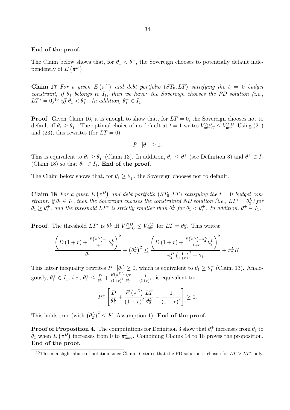#### **End of the proof.**

The Claim below shows that, for  $\theta_1 < \theta_1$ , the Sovereign chooses to potentially default independently of  $E(\pi^D)$ .

**Claim 17** For a given  $E(\pi^D)$  and debt portfolio  $(ST_0, LT)$  satisfying the  $t = 0$  budget *constraint, if θ*<sup>1</sup> *belongs to I*1*, then we have: the Sovereign chooses the PD solution (i.e.,*  $LT^* = 0$ <sup>l0</sup> *iff*  $\theta_1 < \theta_1^-$ . In addition,  $\theta_1^- \in I_1$ .

**Proof.** Given Claim 16, it is enough to show that, for  $LT = 0$ , the Sovereign chooses not to default iff  $\theta_1 \geq \theta_1^-$ . The optimal choice of no default at  $t = 1$  writes  $V_{\text{min}}^{ND} \leq V_{\text{min}}^{PD}$ . Using (21) and (23), this rewrites (for  $LT = 0$ ):

$$
P^{-}[\theta_1] \geq 0.
$$

This is equivalent to  $\theta_1 \ge \theta_1^-$  (Claim 13). In addition,  $\theta_1^- \le \theta_1^+$  (see Definition 3) and  $\theta_1^+ \in I_1$ (Claim 18) so that  $\theta_1^- \in I_1$ . **End of the proof.** 

The Claim below shows that, for  $\theta_1 \geq \theta_1^+$ , the Sovereign chooses not to default.

**Claim 18** For a given  $E(\pi^D)$  and debt portfolio ( $ST_0, LT$ ) satisfying the  $t = 0$  budget con*straint, if*  $\theta_1 \in I_1$ *, then the Sovereign chooses the constrained ND solution (i.e.,*  $LT^* = \theta_2^L$ *)* for  $\theta_1 \ge \theta_1^+$ , and the threshold  $LT^*$  is strictly smaller than  $\theta_2^L$  for  $\theta_1 < \theta_1^+$ . In addition,  $\theta_1^+ \in I_1$ .

**Proof.** The threshold  $LT^*$  is  $\theta_2^L$  iff  $V_{\text{min}}^{ND} \leq V_{\text{min}}^{PD}$  for  $LT = \theta_2^L$ . This writes:

$$
\frac{\left(D(1+r) + \frac{E(\pi^D) - 1}{1+r} \theta_2^L\right)^2}{\theta_1} + \left(\theta_2^L\right)^2 \le \frac{\left(D(1+r) + \frac{E(\pi^D) - \pi_2^L}{1+r} \theta_2^L\right)^2}{\pi_2^H \left(\frac{1}{1+r}\right)^2 + \theta_1} + \pi_2^L K.
$$

This latter inequality rewrites  $P^+_{\cdot}[\theta_1] \geq 0$ , which is equivalent to  $\theta_1 \geq \theta_1^+$  (Claim 13). Analogously,  $\theta_1^+ \in I_1$ , *i.e.*,  $\theta_1^+ \leq \frac{D}{\theta_2^I}$  $\frac{D}{\theta_2^L} + \frac{E(\pi^D)}{(1+r)^2}$  $\frac{L(\pi^2)}{(1+r)^2} \frac{LT}{\theta_2^L}$  $\frac{LT}{\theta_2^L} - \frac{1}{(1+1)}$  $\frac{1}{(1+r)^2}$ , is equivalent to:

$$
P^{+}\left[\frac{D}{\theta_2^L} + \frac{E(\pi^D)}{(1+r)^2} \frac{LT}{\theta_2^L} - \frac{1}{(1+r)^2}\right] \ge 0.
$$

This holds true (with  $(\theta_2^L)^2 \leq K$ , Assumption 1). **End of the proof.** 

**Proof of Proposition 4.** The computations for Definition 3 show that  $\theta_1^+$  increases from  $\hat{\theta}_1$  to  $\check{\theta}_1$  when  $E(\pi^{\bar{D}})$  increases from 0 to  $\pi_{\max}^D$ . Combining Claims 14 to 18 proves the proposition. **End of the proof.**

<sup>&</sup>lt;sup>10</sup>This is a slight abuse of notation since Claim 16 states that the PD solution is chosen for  $LT > LT^*$  only.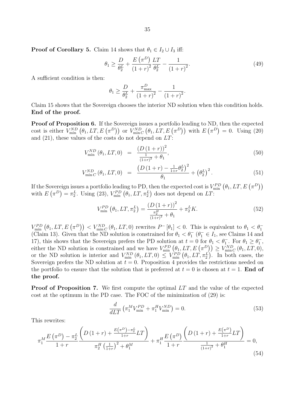$$
\theta_1 \ge \frac{D}{\theta_2^L} + \frac{E(\pi^D)}{(1+r)^2} \frac{LT}{\theta_2^L} - \frac{1}{(1+r)^2}.
$$
\n(49)

A sufficient condition is then:

$$
\theta_1 \ge \frac{D}{\theta_2^L} + \frac{\pi_{\max}^D}{(1+r)^2} - \frac{1}{(1+r)^2}.
$$

Claim 15 shows that the Sovereign chooses the interior ND solution when this condition holds. **End of the proof.**

**Proof of Proposition 6.** If the Sovereign issues a portfolio leading to ND, then the expected cost is either  $V_{\min}^{ND}(\theta_1, LT, E(\pi^D))$  or  $V_{\min C}^{ND}(\theta_1, LT, E(\pi^D))$  with  $E(\pi^D) = 0$ . Using (20) and (21), these values of the costs do not depend on *LT*:

$$
V_{\min}^{ND}(\theta_1, LT, 0) = \frac{\left(D\left(1+r\right)\right)^2}{\frac{1}{\left(1+r\right)^2} + \theta_1},\tag{50}
$$

$$
V_{\min C}^{ND}(\theta_1, LT, 0) = \frac{\left(D\left(1+r\right) - \frac{1}{1+r}\theta_2^L\right)^2}{\theta_1} + \left(\theta_2^L\right)^2. \tag{51}
$$

If the Sovereign issues a portfolio leading to PD, then the expected cost is  $V_{\min}^{PD}(\theta_1, LT, E(\pi^D))$ with  $E(\pi^D) = \pi_2^L$ . Using (23),  $V_{\text{min}}^{PD}(\theta_1, LT, \pi_2^L)$  does not depend on *LT*:

$$
V_{\min}^{PD}(\theta_1, LT, \pi_2^L) = \frac{(D(1+r))^2}{\frac{\pi_2^H}{(1+r)^2} + \theta_1} + \pi_2^LK.
$$
 (52)

 $V_{\min}^{PD}(\theta_1,LT, E(\pi^D)) < V_{\min C}^{ND}(\theta_1,LT,0)$  rewrites  $P^{-}[\theta_1] < 0$ . This is equivalent to  $\theta_1 < \theta_1^{-}$ (Claim 13). Given that the ND solution is constrained for  $\theta_1 < \theta_1^-$  ( $\theta_1^- \in I_1$ , see Claims 14 and 17), this shows that the Sovereign prefers the PD solution at  $t = 0$  for  $\theta_1 < \theta_1^-$ . For  $\theta_1 \ge \theta_1^-$ , either the ND solution is constrained and we have  $V_{\text{min}}^{PD}(\theta_1, LT, E(\pi^D)) \geq V_{\text{min}}^{ND}(\theta_1, LT, 0),$ or the ND solution is interior and  $V_{\text{min}}^{ND}(\theta_1, LT, 0) \leq V_{\text{min}}^{PD}(\theta_1, LT, \pi_2^L)$ . In both cases, the Sovereign prefers the ND solution at  $t = 0$ . Proposition 4 provides the restrictions needed on the portfolio to ensure that the solution that is preferred at  $t = 0$  is chosen at  $t = 1$ . **End of the proof.**

**Proof of Proposition 7.** We first compute the optimal LT and the value of the expected cost at the optimum in the PD case. The FOC of the minimization of (29) is:

$$
\frac{d}{dLT}\left(\pi_1^M V_{\text{min}}^{PD} + \pi_1^H V_{\text{min}}^{ND}\right) = 0.
$$
\n(53)

This rewrites:

$$
\pi_1^M \frac{E(\pi^D) - \pi_2^L}{1+r} \frac{\left( D(1+r) + \frac{E(\pi^D) - \pi_2^L}{1+r} LT \right)}{\pi_2^H \left( \frac{1}{1+r} \right)^2 + \theta_1^M} + \pi_1^H \frac{E(\pi^D)}{1+r} \frac{\left( D(1+r) + \frac{E(\pi^D)}{1+r} LT \right)}{\frac{1}{(1+r)^2} + \theta_1^H} = 0,
$$
\n(54)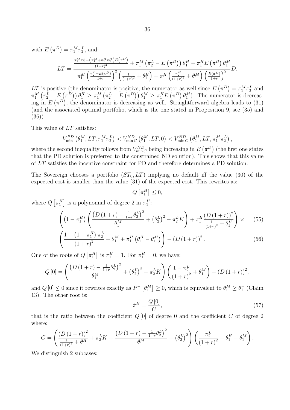with  $E(\pi^D) = \pi_1^M \pi_2^L$ , and:

$$
LT = \frac{\frac{\pi_1^M \pi_2^L - (\pi_1^M + \pi_1^H \pi_2^H)E(\pi^D)}{(1+r)^2} + \pi_1^M (\pi_2^L - E(\pi^D)) \theta_1^H - \pi_1^H E(\pi^D) \theta_1^M}{\pi_1^M (\frac{\pi_2^L - E(\pi^D)}{1+r})^2 (\frac{1}{(1+r)^2} + \theta_1^H) + \pi_1^H (\frac{\pi_2^H}{(1+r)^2} + \theta_1^M) (\frac{E(\pi^D)}{1+r})^2} D.
$$

*LT* is positive (the denominator is positive, the numerator as well since  $E(\pi^D) = \pi_1^M \pi_2^L$  and  $\pi_1^M \left( \pi_2^L - E\left( \pi^D \right) \right) \theta_1^H \geq \pi_1^M \left( \pi_2^L - E\left( \pi^D \right) \right) \theta_1^M \geq \pi_1^H E\left( \pi^D \right) \theta_1^M$ . The numerator is decreasing in  $E(\pi^D)$ , the denominator is decreasing as well. Straightforward algebra leads to (31) (and the associated optimal portfolio, which is the one stated in Proposition 9, see (35) and  $(36)$ ).

This value of *LT* satisfies:

$$
V_{\min}^{PD}(\theta_1^M, LT, \pi_1^M \pi_2^L) < V_{\min C}^{ND}(\theta_1^M, LT, 0) < V_{\min C}^{ND}(\theta_1^M, LT, \pi_1^M \pi_2^L),
$$

where the second inequality follows from  $V_{\min C}^{ND}$  being increasing in  $E(\pi^D)$  (the first one states that the PD solution is preferred to the constrained ND solution). This shows that this value of *LT* satisfies the incentive constraint for PD and therefore determines a PD solution.

The Sovereign chooses a portfolio (*ST*0*, LT*) implying no default iff the value (30) of the expected cost is smaller than the value (31) of the expected cost. This rewrites as:

$$
Q\left[\pi_1^H\right] \leq 0,
$$

where  $Q\left[\pi_1^H\right]$  is a polynomial of degree 2 in  $\pi_1^H$ :

$$
\left( \left( 1 - \pi_1^H \right) \left( \frac{\left( D \left( 1+r \right) - \frac{1}{1+r} \theta_2^L \right)^2}{\theta_1^M} + \left( \theta_2^L \right)^2 - \pi_2^L K \right) + \pi_1^H \frac{\left( D \left( 1+r \right) \right)^2}{\frac{1}{\left( 1+r \right)^2} + \theta_1^H} \right) \times \tag{55}
$$

$$
\left(\frac{1 - \left(1 - \pi_1^H\right)\pi_2^L}{\left(1 + r\right)^2} + \theta_1^M + \pi_1^H \left(\theta_1^H - \theta_1^M\right)\right) - \left(D\left(1 + r\right)\right)^2. \tag{56}
$$

One of the roots of  $Q\left[\pi_1^H\right]$  is  $\pi_1^H = 1$ . For  $\pi_1^H = 0$ , we have:

$$
Q\left[0\right] = \left(\frac{\left(D\left(1+r\right) - \frac{1}{1+r}\theta_2^L\right)^2}{\theta_1^M} + \left(\theta_2^L\right)^2 - \pi_2^L K\right) \left(\frac{1-\pi_2^L}{\left(1+r\right)^2} + \theta_1^M\right) - \left(D\left(1+r\right)\right)^2,
$$

and  $Q[0] \leq 0$  since it rewrites exactly as  $P^{-}[\theta_1^M] \geq 0$ , which is equivalent to  $\theta_1^M \geq \theta_1^{-}$  (Claim 13). The other root is:

$$
\hat{\pi}_1^H = \frac{Q[0]}{C},\tag{57}
$$

that is the ratio between the coefficient  $Q[0]$  of degree 0 and the coefficient  $C$  of degree 2 where:

$$
C = \left(\frac{\left(D\left(1+r\right)\right)^2}{\frac{1}{\left(1+r\right)^2} + \theta_1^H} + \pi_2^L K - \frac{\left(D\left(1+r\right) - \frac{1}{1+r} \theta_2^L\right)^2}{\theta_1^M} - \left(\theta_2^L\right)^2\right) \left(\frac{\pi_2^L}{\left(1+r\right)^2} + \theta_1^H - \theta_1^M\right).
$$

We distinguish 2 subcases: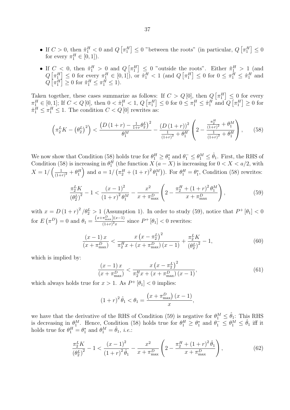- If  $C > 0$ , then  $\hat{\pi}_1^H < 0$  and  $Q\left[\pi_1^H\right] \leq 0$  "between the roots" (in particular,  $Q\left[\pi_1^H\right] \leq 0$ for every  $\pi_1^H \in [0, 1]$ ).
- If  $C < 0$ , then  $\hat{\pi}_1^H > 0$  and  $Q\left[\pi_1^H\right] \leq 0$  "outside the roots". Either  $\hat{\pi}_1^H > 1$  (and  $Q\left[\pi_1^H\right] \leq 0$  for every  $\pi_1^H \in [0,1]$ , or  $\hat{\pi}_1^H < 1$  (and  $Q\left[\pi_1^H\right] \leq 0$  for  $0 \leq \pi_1^H \leq \hat{\pi}_1^H$  and  $Q\left[\pi_1^H\right] \ge 0$  for  $\hat{\pi}_1^H \le \pi_1^H \le 1$ .

Taken together, these cases summarize as follows: If  $C > Q[0]$ , then  $Q\left[\pi_1^H\right] \leq 0$  for every  $\pi_1^H \in [0,1];$  If  $C < Q[0]$ , then  $0 < \hat{\pi}_1^H < 1$ ,  $Q\left[\pi_1^H\right] \leq 0$  for  $0 \leq \pi_1^H \leq \hat{\pi}_1^H$  and  $Q\left[\pi_1^H\right] \geq 0$  for  $\hat{\pi}_1^H \leq \pi_1^H \leq 1$ . The condition  $C < Q[0]$  rewrites as:

$$
\left(\pi_2^L K - \left(\theta_2^L\right)^2\right) < \frac{\left(D\left(1+r\right) - \frac{1}{1+r}\theta_2^L\right)^2}{\theta_1^M} - \frac{\left(D\left(1+r\right)\right)^2}{\frac{1}{(1+r)^2} + \theta_1^H} \left(2 - \frac{\frac{\pi_2^H}{(1+r)^2} + \theta_1^M}{\frac{1}{(1+r)^2} + \theta_1^H}\right),\tag{58}
$$

We now show that Condition (58) holds true for  $\theta_1^H \geq \theta_1^*$  and  $\theta_1^- \leq \theta_1^M \leq \hat{\theta}_1$ . First, the RHS of Condition (58) is increasing in  $\theta_1^H$  (the function *X* (*a* − *X*) is increasing for  $0 < X < a/2$ , with  $X = 1/\left(\frac{1}{(1+x)^{2}}\right)$  $\frac{1}{(1+r)^2} + \theta_1^H$  and  $a = 1/\left(\pi_2^H + (1+r)^2 \theta_1^M\right)$ . For  $\theta_1^H = \theta_1^*$ , Condition (58) rewrites:

$$
\frac{\pi_2^L K}{\left(\theta_2^L\right)^2} - 1 < \frac{\left(x - 1\right)^2}{\left(1 + r\right)^2 \theta_1^M} - \frac{x^2}{x + \pi_{\text{max}}^D} \left(2 - \frac{\pi_2^H + \left(1 + r\right)^2 \theta_1^M}{x + \pi_{\text{max}}^D}\right),\tag{59}
$$

with  $x = D(1+r)^2/\theta_2^L > 1$  (Assumption 1). In order to study (59), notice that  $P^+[\theta_1] < 0$ for  $E(\pi^D) = 0$  and  $\theta_1 = \frac{(x + \pi_{\text{max}}^D)(x-1)}{(1+r)^2x}$  $\frac{\pi_{\max}^{\pi_{\max}}(x-1)}{(1+r)^2x}$  since  $P^+$  [ $\theta_1$ ] < 0 rewrites:

$$
\frac{(x-1)x}{(x+\pi_{\max}^D)} < \frac{x\left(x-\pi_2^L\right)^2}{\pi_2^H x + (x+\pi_{\max}^D)(x-1)} + \frac{\pi_2^L K}{\left(\theta_2^L\right)^2} - 1,\tag{60}
$$

which is implied by:

$$
\frac{(x-1)x}{(x+\pi_{\max}^D)} < \frac{x\left(x-\pi_2^L\right)^2}{\pi_2^H x + (x+\pi_{\max}^D)(x-1)},\tag{61}
$$

which always holds true for  $x > 1$ . As  $P^+$   $[\theta_1] < 0$  implies:

$$
(1+r)^{2} \hat{\theta}_{1} < \theta_{1} = \frac{\left(x + \pi_{\max}^{D}\right)(x-1)}{x},
$$

we have that the derivative of the RHS of Condition (59) is negative for  $\theta_1^M \leq \hat{\theta}_1$ : This RHS is decreasing in  $\theta_1^M$ . Hence, Condition (58) holds true for  $\theta_1^H \geq \theta_1^*$  and  $\theta_1^- \leq \theta_1^M \leq \hat{\theta}_1$  iff it holds true for  $\theta_1^H = \theta_1^*$  and  $\theta_1^M = \hat{\theta}_1$ , *i.e.*:

$$
\frac{\pi_2^L K}{\left(\theta_2^L\right)^2} - 1 < \frac{\left(x - 1\right)^2}{\left(1 + r\right)^2 \hat{\theta}_1} - \frac{x^2}{x + \pi_{\text{max}}^D} \left(2 - \frac{\pi_2^H + \left(1 + r\right)^2 \hat{\theta}_1}{x + \pi_{\text{max}}^D}\right),\tag{62}
$$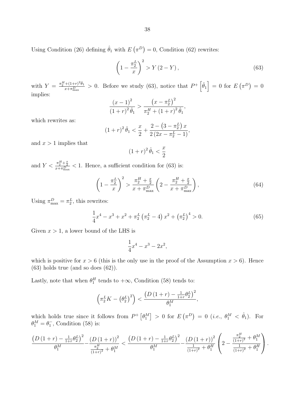Using Condition (26) defining  $\hat{\theta}_1$  with  $E(\pi^D) = 0$ , Condition (62) rewrites:

$$
\left(1 - \frac{\pi_2^L}{x}\right)^2 > Y\left(2 - Y\right),\tag{63}
$$

with  $Y = \frac{\pi_2^H + (1+r)^2 \hat{\theta}_1}{x + \pi_{\text{max}}^D} > 0$ . Before we study (63), notice that  $P^+ \left[\hat{\theta}_1\right] = 0$  for  $E\left(\pi^D\right) = 0$ implies:

$$
\frac{(x-1)^2}{(1+r)^2 \hat{\theta}_1} > \frac{\left(x - \pi_2^L\right)^2}{\pi_2^H + \left(1+r\right)^2 \hat{\theta}_1},
$$

which rewrites as:

$$
(1+r)^2 \hat{\theta}_1 < \frac{x}{2} + \frac{2 - \left(3 - \pi_2^L\right) x}{2\left(2x - \pi_2^L - 1\right)},
$$

and  $x > 1$  implies that

$$
(1+r)^2 \hat{\theta}_1 < \frac{x}{2}
$$

and  $Y < \frac{\pi_2^H + \frac{x}{2}}{x + \pi_{\max}^D} < 1$ . Hence, a sufficient condition for (63) is:

$$
\left(1 - \frac{\pi_2^L}{x}\right)^2 > \frac{\pi_2^H + \frac{x}{2}}{x + \pi_{\text{max}}^D} \left(2 - \frac{\pi_2^H + \frac{x}{2}}{x + \pi_{\text{max}}^D}\right),\tag{64}
$$

Using  $\pi_{\text{max}}^D = \pi_2^L$ , this rewrites:

$$
\frac{1}{4}x^4 - x^3 + x^2 + \pi_2^L \left(\pi_2^L - 4\right) x^2 + \left(\pi_2^L\right)^4 > 0. \tag{65}
$$

Given  $x > 1$ , a lower bound of the LHS is

$$
\frac{1}{4}x^4 - x^3 - 2x^2,
$$

which is positive for  $x > 6$  (this is the only use in the proof of the Assumption  $x > 6$ ). Hence  $(63)$  holds true (and so does  $(62)$ ).

Lastly, note that when  $\theta_1^H$  tends to  $+\infty$ , Condition (58) tends to:

$$
\left(\pi_2^L K - \left(\theta_2^L\right)^2\right) < \frac{\left(D\left(1+r\right) - \frac{1}{1+r}\theta_2^L\right)^2}{\theta_1^M},
$$

which holds true since it follows from  $P^+ \left[ \theta_1^M \right] > 0$  for  $E \left( \pi^D \right) = 0$  (*i.e.*,  $\theta_1^M < \hat{\theta}_1$ ). For  $\theta_1^M = \theta_1^-$ , Condition (58) is:

$$
\frac{\left(D\left(1+r\right)-\frac{1}{1+r}\theta_2^L\right)^2}{\theta_1^M}-\frac{\left(D\left(1+r\right)\right)^2}{\frac{\pi_2^H}{\left(1+r\right)^2}+\theta_1^M}<\frac{\left(D\left(1+r\right)-\frac{1}{1+r}\theta_2^L\right)^2}{\theta_1^M}-\frac{\left(D\left(1+r\right)\right)^2}{\frac{1}{\left(1+r\right)^2}+\theta_1^H}\left(2-\frac{\frac{\pi_2^H}{\left(1+r\right)^2}+\theta_1^M}{\frac{1}{\left(1+r\right)^2}+\theta_1^H}\right).
$$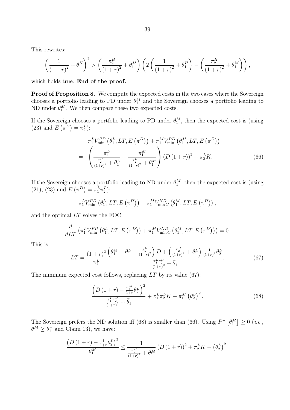This rewrites:

$$
\left(\frac{1}{(1+r)^2} + \theta_1^H\right)^2 > \left(\frac{\pi_2^H}{(1+r)^2} + \theta_1^M\right) \left(2\left(\frac{1}{(1+r)^2} + \theta_1^H\right) - \left(\frac{\pi_2^H}{(1+r)^2} + \theta_1^M\right)\right),
$$

which holds true. **End of the proof.**

**Proof of Proposition 8.** We compute the expected costs in the two cases where the Sovereign chooses a portfolio leading to PD under  $\theta_1^M$  and the Sovereign chooses a portfolio leading to ND under  $\theta_1^M$ . We then compare these two expected costs.

If the Sovereign chooses a portfolio leading to PD under  $\theta_1^M$ , then the expected cost is (using (23) and  $E(\pi^D) = \pi_2^L$ :

$$
\pi_{1}^{L}V_{\min}^{PD}(\theta_{1}^{L},LT, E(\pi^{D})) + \pi_{1}^{M}V_{\min}^{PD}(\theta_{1}^{M},LT, E(\pi^{D}))
$$
\n
$$
= \left(\frac{\pi_{1}^{L}}{\frac{\pi_{2}^{H}}{(1+r)^{2}} + \theta_{1}^{L}} + \frac{\pi_{1}^{M}}{\frac{\pi_{2}^{H}}{(1+r)^{2}} + \theta_{1}^{M}}\right) (D(1+r))^{2} + \pi_{2}^{L}K.
$$
\n(66)

If the Sovereign chooses a portfolio leading to ND under  $\theta_1^M$ , then the expected cost is (using (21), (23) and  $E(\pi^D) = \pi_1^L \pi_2^L$ :

$$
\pi_1^L V_{\min}^{PD}(\theta_1^L, LT, E(\pi^D)) + \pi_1^M V_{\min C}^{ND}(\theta_1^M, LT, E(\pi^D)),
$$

and the optimal *LT* solves the FOC:

$$
\frac{d}{dLT} \left( \pi_1^L V_{\min}^{PD} \left( \theta_1^L, LT, E\left( \pi^D \right) \right) + \pi_1^M V_{\min C}^{ND} \left( \theta_1^M, LT, E\left( \pi^D \right) \right) \right) = 0.
$$

This is:

$$
LT = \frac{\left(1+r\right)^2}{\pi_2^L} \frac{\left(\theta_1^M - \theta_1^L - \frac{\pi_2^H}{(1+r)^2}\right)D + \left(\frac{\pi_2^H}{(1+r)^2} + \theta_1^L\right)\frac{1}{(1+r)^2}\theta_2^L}{\frac{\pi_1^L \pi_2^H}{(1+r)^2} + \bar{\theta}_1}.
$$
(67)

The minimum expected cost follows, replacing *LT* by its value (67):

$$
\frac{\left(D\left(1+r\right)-\frac{\pi_{1}^{M}}{1+r}\theta_{2}^{L}\right)^{2}}{\frac{\pi_{1}^{L}\pi_{2}^{H}}{(1+r)^{2}}+\bar{\theta}_{1}} + \pi_{1}^{L}\pi_{2}^{L}K + \pi_{1}^{M}\left(\theta_{2}^{L}\right)^{2}.
$$
\n(68)

The Sovereign prefers the ND solution iff (68) is smaller than (66). Using  $P^{-}[\theta_1^M] \ge 0$  (*i.e.*,  $\theta_1^M \ge \theta_1^-$  and Claim 13), we have:

$$
\frac{\left(D\left(1+r\right)-\frac{1}{1+r}\theta_2^L\right)^2}{\theta_1^M} \leq \frac{1}{\frac{\pi_2^H}{\left(1+r\right)^2}+\theta_1^M} \left(D\left(1+r\right)\right)^2+\pi_2^L K-\left(\theta_2^L\right)^2.
$$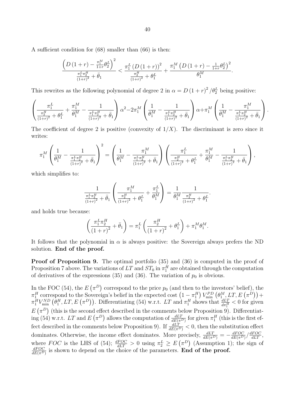A sufficient condition for (68) smaller than (66) is then:

$$
\frac{\left(D\left(1+r\right)-\frac{\pi_{1}^{M}}{1+r}\theta_{2}^{L}\right)^{2}}{\frac{\pi_{1}^{L}\pi_{2}^{H}}{(1+r)^{2}}+\bar{\theta}_{1}}<\frac{\pi_{1}^{L}\left(D\left(1+r\right)\right)^{2}}{\frac{\pi_{2}^{H}}{(1+r)^{2}}+\theta_{1}^{L}}+\frac{\pi_{1}^{M}\left(D\left(1+r\right)-\frac{1}{1+r}\theta_{2}^{L}\right)^{2}}{\theta_{1}^{M}}.
$$

This rewrites as the following polynomial of degree 2 in  $\alpha = D(1+r)^2/\theta_2^L$  being positive:

$$
\left(\frac{\pi_1^L}{\frac{\pi_2^H}{(1+r)^2} + \theta_1^L} + \frac{\pi_1^M}{\theta_1^M} - \frac{1}{\frac{\pi_1^L \pi_2^H}{(1+r)^2} + \bar{\theta}_1}\right) \alpha^2 - 2\pi_1^M \left(\frac{1}{\theta_1^M} - \frac{1}{\frac{\pi_1^L \pi_2^H}{(1+r)^2} + \bar{\theta}_1}\right) \alpha + \pi_1^M \left(\frac{1}{\theta_1^M} - \frac{\pi_1^M}{\frac{\pi_1^L \pi_2^H}{(1+r)^2} + \bar{\theta}_1}\right).
$$

The coefficient of degree 2 is positive (convexity of  $1/X$ ). The discriminant is zero since it writes:

$$
\pi_1^M\left(\frac{1}{\theta_1^M}-\frac{1}{\frac{\pi_1^L\pi_2^H}{(1+r)^2}+\bar{\theta}_1}\right)^2=\left(\frac{1}{\theta_1^M}-\frac{\pi_1^M}{\frac{\pi_1^L\pi_2^H}{(1+r)^2}+\bar{\theta}_1}\right)\left(\frac{\pi_1^L}{\frac{\pi_2^H}{(1+r)^2}+\theta_1^L}+\frac{\pi_1^M}{\theta_1^M}-\frac{1}{\frac{\pi_1^L\pi_2^H}{(1+r)^2}+\bar{\theta}_1}\right),
$$

which simplifies to:

$$
\frac{1}{\frac{\pi_1^L \pi_2^H}{(1+r)^2} + \bar{\theta}_1} \left( \frac{\pi_1^M}{\frac{\pi_2^H}{(1+r)^2} + \theta_1^L} + \frac{\pi_1^L}{\theta_1^M} \right) = \frac{1}{\theta_1^M} \frac{1}{\frac{\pi_2^H}{(1+r)^2} + \theta_1^L}.
$$

and holds true because:

$$
\left(\frac{\pi_1^L\pi_2^H}{\left(1+r\right)^2}+\bar{\theta}_1\right)=\pi_1^L\left(\frac{\pi_2^H}{\left(1+r\right)^2}+\theta_1^L\right)+\pi_1^M\theta_1^M.
$$

It follows that the polynomial in  $\alpha$  is always positive: the Sovereign always prefers the ND solution. **End of the proof.**

**Proof of Proposition 9.** The optimal portfolio (35) and (36) is computed in the proof of Proposition 7 above. The variations of  $LT$  and  $ST_0$  in  $\pi_1^H$  are obtained through the computation of derivatives of the expressions  $(35)$  and  $(36)$ . The variation of  $p_0$  is obvious.

In the FOC (54), the  $E(\pi^D)$  correspond to the price  $p_0$  (and then to the investors' belief), the  $\pi_1^H$  correspond to the Sovereign's belief in the expected cost  $\left(1 - \pi_1^H\right) V_{\text{min}}^{PD} \left(\theta_{1}^M, LT, E\left(\pi^D\right)\right) +$  $\pi_1^H V_{\min}^{ND}(\theta_1^H, LT, E(\pi^D))$ . Differentiating (54) w.r.t. LT and  $\pi_1^H$  shows that  $\frac{dLT}{d\pi_1^H} < 0$  for given  $E(\pi^D)$  (this is the second effect described in the comments below Proposition 9). Differentiat- $\log (54)$  w.r.t. *LT* and  $E(\pi^D)$  allows the computation of  $\frac{dLT}{dE(\pi^D)}$  for given  $\pi_1^H$  (this is the first effect described in the comments below Proposition 9). If  $\frac{dLT}{dE(\pi^D)} < 0$ , then the substitution effect dominates. Otherwise, the income effect dominates. More precisely,  $\frac{dLT}{dE(\pi^D)} = -\frac{dFOC}{dE(\pi^D)}$  $\frac{dFOC}{dE(\pi^D)}$  /  $\frac{dFOC}{dLT}$ , where *FOC* is the LHS of (54);  $\frac{dFOC}{dLT} > 0$  using  $\pi_2^L \ge E(\pi^D)$  (Assumption 1); the sign of *dF OC*  $\frac{dFOC}{dE(\pi^D)}$  is shown to depend on the choice of the parameters. **End of the proof.**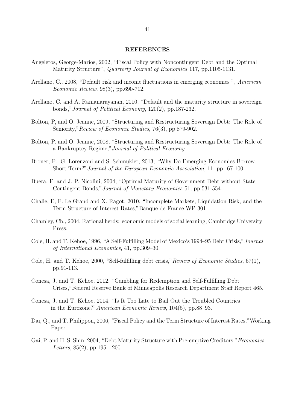#### **REFERENCES**

- Angeletos, George-Marios, 2002, "Fiscal Policy with Noncontingent Debt and the Optimal Maturity Structure", *Quarterly Journal of Economics* 117, pp.1105-1131.
- Arellano, C., 2008, "Default risk and income fluctuations in emerging economies ", *American Economic Review*, 98(3), pp.690-712.
- Arellano, C. and A. Ramanarayanan, 2010, "Default and the maturity structure in sovereign bonds,"*Journal of Political Economy*, 120(2), pp.187-232.
- Bolton, P, and O. Jeanne, 2009, "Structuring and Restructuring Sovereign Debt: The Role of Seniority,"*Review of Economic Studies*, 76(3), pp.879-902.
- Bolton, P. and O. Jeanne, 2008, "Structuring and Restructuring Sovereign Debt: The Role of a Bankruptcy Regime,"*Journal of Political Economy*.
- Broner, F., G. Lorenzoni and S. Schmukler, 2013, "Why Do Emerging Economies Borrow Short Term?"*Journal of the European Economic Association*, 11, pp. 67-100.
- Buera, F. and J. P. Nicolini, 2004, "Optimal Maturity of Government Debt without State Contingent Bonds,"*Journal of Monetary Economics* 51, pp.531-554.
- Challe, E, F. Le Grand and X. Ragot, 2010, "Incomplete Markets, Liquidation Risk, and the Term Structure of Interest Rates,"Banque de France WP 301.
- Chamley, Ch., 2004, Rational herds: economic models of social learning, Cambridge University Press.
- Cole, H. and T. Kehoe, 1996, "A Self-Fulfilling Model of Mexico's 1994–95 Debt Crisis,"*Journal of International Economics*, 41, pp.309–30.
- Cole, H. and T. Kehoe, 2000, "Self-fulfilling debt crisis,"*Review of Economic Studies*, 67(1), pp.91-113.
- Conesa, J. and T. Kehoe, 2012, "Gambling for Redemption and Self-Fulfilling Debt Crises,"Federal Reserve Bank of Minneapolis Research Department Staff Report 465.
- Conesa, J. and T. Kehoe, 2014, "Is It Too Late to Bail Out the Troubled Countries in the Eurozone?"*American Economic Review*, 104(5), pp.88–93.
- Dai, Q., and T. Philippon, 2006, "Fiscal Policy and the Term Structure of Interest Rates,"Working Paper.
- Gai, P. and H. S. Shin, 2004, "Debt Maturity Structure with Pre-emptive Creditors,"*Economics Letters*, 85(2), pp.195 - 200.